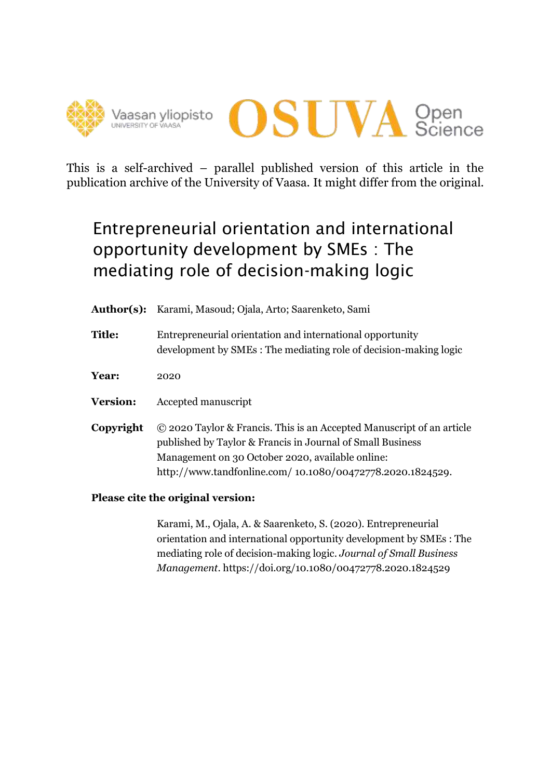



This is a self-archived – parallel published version of this article in the publication archive of the University of Vaasa. It might differ from the original.

# Entrepreneurial orientation and international opportunity development by SMEs : The mediating role of decision-making logic

- **Author(s):** Karami, Masoud; Ojala, Arto; Saarenketo, Sami
- **Title:** Entrepreneurial orientation and international opportunity development by SMEs : The mediating role of decision-making logic
- **Year:** 2020
- **Version:** Accepted manuscript
- **Copyright** © 2020 Taylor & Francis. This is an Accepted Manuscript of an article published by Taylor & Francis in Journal of Small Business Management on 30 October 2020, available online: http://www.tandfonline.com/ 10.1080/00472778.2020.1824529.
- **Please cite the original version:**

Karami, M., Ojala, A. & Saarenketo, S. (2020). Entrepreneurial orientation and international opportunity development by SMEs : The mediating role of decision-making logic. *Journal of Small Business Management*. https://doi.org/10.1080/00472778.2020.1824529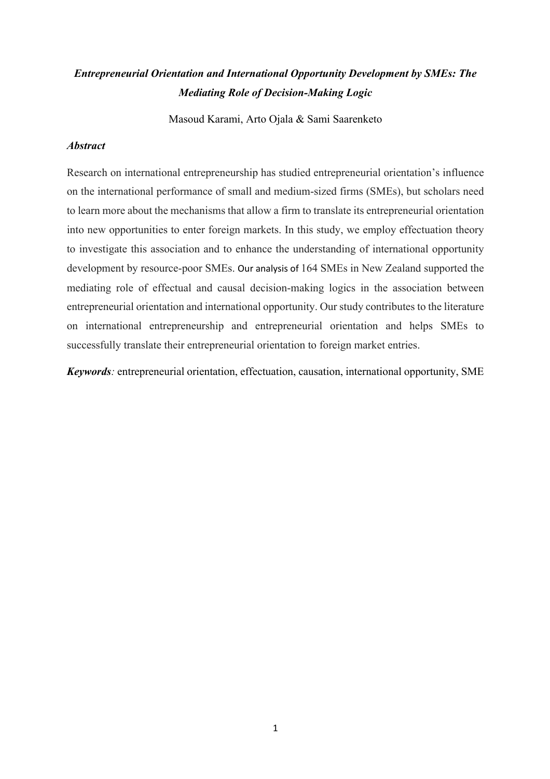### *Entrepreneurial Orientation and International Opportunity Development by SMEs: The Mediating Role of Decision-Making Logic*

Masoud Karami, Arto Ojala & Sami Saarenketo

#### *Abstract*

Research on international entrepreneurship has studied entrepreneurial orientation's influence on the international performance of small and medium-sized firms (SMEs), but scholars need to learn more about the mechanisms that allow a firm to translate its entrepreneurial orientation into new opportunities to enter foreign markets. In this study, we employ effectuation theory to investigate this association and to enhance the understanding of international opportunity development by resource-poor SMEs. Our analysis of 164 SMEs in New Zealand supported the mediating role of effectual and causal decision-making logics in the association between entrepreneurial orientation and international opportunity. Our study contributes to the literature on international entrepreneurship and entrepreneurial orientation and helps SMEs to successfully translate their entrepreneurial orientation to foreign market entries.

*Keywords:* entrepreneurial orientation, effectuation, causation, international opportunity, SME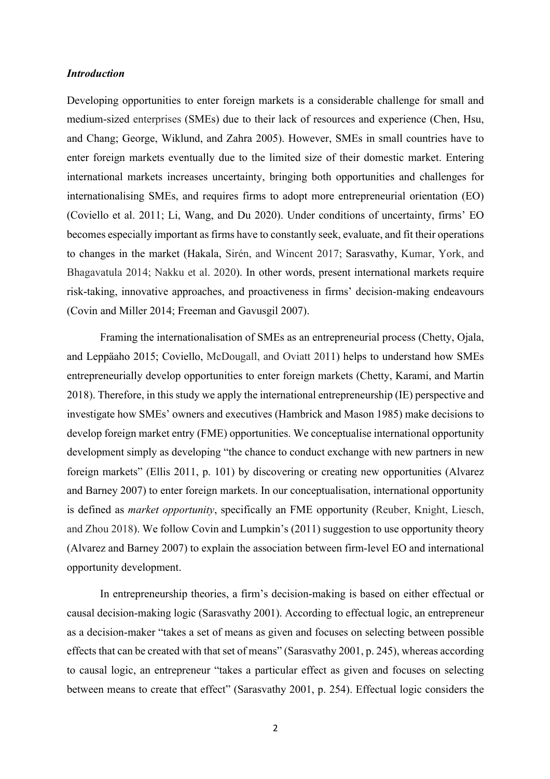#### *Introduction*

Developing opportunities to enter foreign markets is a considerable challenge for small and medium-sized enterprises (SMEs) due to their lack of resources and experience (Chen, Hsu, and Chang; George, Wiklund, and Zahra 2005). However, SMEs in small countries have to enter foreign markets eventually due to the limited size of their domestic market. Entering international markets increases uncertainty, bringing both opportunities and challenges for internationalising SMEs, and requires firms to adopt more entrepreneurial orientation (EO) (Coviello et al. 2011; Li, Wang, and Du 2020). Under conditions of uncertainty, firms' EO becomes especially important as firms have to constantly seek, evaluate, and fit their operations to changes in the market (Hakala, Sirén, and Wincent 2017; Sarasvathy, Kumar, York, and Bhagavatula 2014; Nakku et al. 2020). In other words, present international markets require risk-taking, innovative approaches, and proactiveness in firms' decision-making endeavours (Covin and Miller 2014; Freeman and Gavusgil 2007).

Framing the internationalisation of SMEs as an entrepreneurial process (Chetty, Ojala, and Leppäaho 2015; Coviello, McDougall, and Oviatt 2011) helps to understand how SMEs entrepreneurially develop opportunities to enter foreign markets (Chetty, Karami, and Martin 2018). Therefore, in this study we apply the international entrepreneurship (IE) perspective and investigate how SMEs' owners and executives (Hambrick and Mason 1985) make decisions to develop foreign market entry (FME) opportunities. We conceptualise international opportunity development simply as developing "the chance to conduct exchange with new partners in new foreign markets" (Ellis 2011, p. 101) by discovering or creating new opportunities (Alvarez and Barney 2007) to enter foreign markets. In our conceptualisation, international opportunity is defined as *market opportunity*, specifically an FME opportunity (Reuber, Knight, Liesch, and Zhou 2018). We follow Covin and Lumpkin's (2011) suggestion to use opportunity theory (Alvarez and Barney 2007) to explain the association between firm-level EO and international opportunity development.

In entrepreneurship theories, a firm's decision-making is based on either effectual or causal decision-making logic (Sarasvathy 2001). According to effectual logic, an entrepreneur as a decision-maker "takes a set of means as given and focuses on selecting between possible effects that can be created with that set of means" (Sarasvathy 2001, p. 245), whereas according to causal logic, an entrepreneur "takes a particular effect as given and focuses on selecting between means to create that effect" (Sarasvathy 2001, p. 254). Effectual logic considers the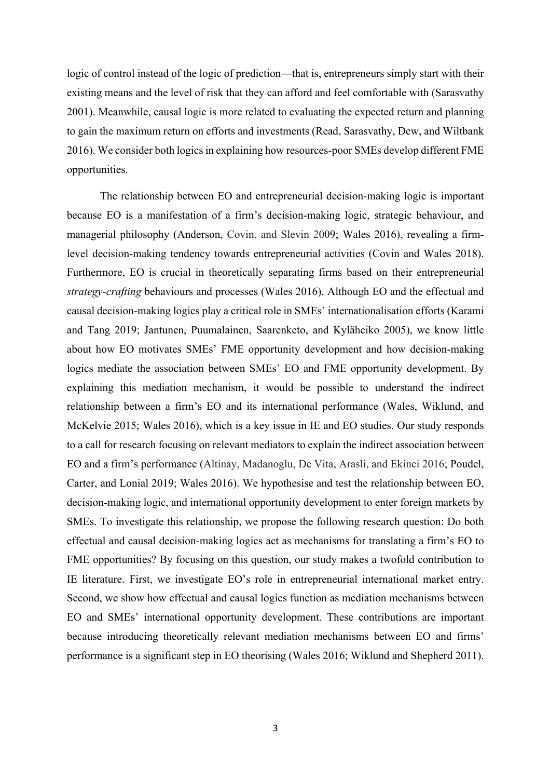logic of control instead of the logic of prediction—that is, entrepreneurs simply start with their existing means and the level of risk that they can afford and feel comfortable with (Sarasvathy 2001). Meanwhile, causal logic is more related to evaluating the expected return and planning to gain the maximum return on efforts and investments (Read, Sarasvathy, Dew, and Wiltbank 2016). We consider both logics in explaining how resources-poor SMEs develop different FME opportunities.

The relationship between EO and entrepreneurial decision-making logic is important because EO is a manifestation of a firm's decision-making logic, strategic behaviour, and managerial philosophy (Anderson, Covin, and Slevin 2009; Wales 2016), revealing a firmlevel decision-making tendency towards entrepreneurial activities (Covin and Wales 2018). Furthermore, EO is crucial in theoretically separating firms based on their entrepreneurial *strategy-crafting* behaviours and processes (Wales 2016). Although EO and the effectual and causal decision-making logics play a critical role in SMEs' internationalisation efforts (Karami and Tang 2019; Jantunen, Puumalainen, Saarenketo, and Kyläheiko 2005), we know little about how EO motivates SMEs' FME opportunity development and how decision-making logics mediate the association between SMEs' EO and FME opportunity development. By explaining this mediation mechanism, it would be possible to understand the indirect relationship between a firm's EO and its international performance (Wales, Wiklund, and McKelvie 2015; Wales 2016), which is a key issue in IE and EO studies. Our study responds to a call for research focusing on relevant mediators to explain the indirect association between EO and a firm's performance (Altinay, Madanoglu, De Vita, Arasli, and Ekinci 2016; Poudel, Carter, and Lonial 2019; Wales 2016). We hypothesise and test the relationship between EO, decision-making logic, and international opportunity development to enter foreign markets by SMEs. To investigate this relationship, we propose the following research question: Do both effectual and causal decision-making logics act as mechanisms for translating a firm's EO to FME opportunities? By focusing on this question, our study makes a twofold contribution to IE literature. First, we investigate EO's role in entrepreneurial international market entry. Second, we show how effectual and causal logics function as mediation mechanisms between EO and SMEs' international opportunity development. These contributions are important because introducing theoretically relevant mediation mechanisms between EO and firms' performance is a significant step in EO theorising (Wales 2016; Wiklund and Shepherd 2011).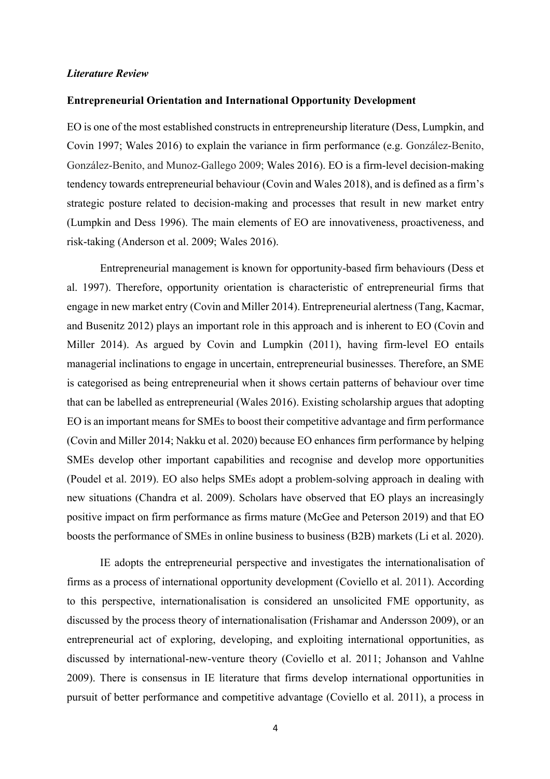#### *Literature Review*

#### **Entrepreneurial Orientation and International Opportunity Development**

EO is one of the most established constructs in entrepreneurship literature (Dess, Lumpkin, and Covin 1997; Wales 2016) to explain the variance in firm performance (e.g. González-Benito, González-Benito, and Munoz-Gallego 2009; Wales 2016). EO is a firm-level decision-making tendency towards entrepreneurial behaviour (Covin and Wales 2018), and is defined as a firm's strategic posture related to decision-making and processes that result in new market entry (Lumpkin and Dess 1996). The main elements of EO are innovativeness, proactiveness, and risk-taking (Anderson et al. 2009; Wales 2016).

Entrepreneurial management is known for opportunity-based firm behaviours (Dess et al. 1997). Therefore, opportunity orientation is characteristic of entrepreneurial firms that engage in new market entry (Covin and Miller 2014). Entrepreneurial alertness (Tang, Kacmar, and Busenitz 2012) plays an important role in this approach and is inherent to EO (Covin and Miller 2014). As argued by Covin and Lumpkin (2011), having firm-level EO entails managerial inclinations to engage in uncertain, entrepreneurial businesses. Therefore, an SME is categorised as being entrepreneurial when it shows certain patterns of behaviour over time that can be labelled as entrepreneurial (Wales 2016). Existing scholarship argues that adopting EO is an important means for SMEs to boost their competitive advantage and firm performance (Covin and Miller 2014; Nakku et al. 2020) because EO enhances firm performance by helping SMEs develop other important capabilities and recognise and develop more opportunities (Poudel et al. 2019). EO also helps SMEs adopt a problem-solving approach in dealing with new situations (Chandra et al. 2009). Scholars have observed that EO plays an increasingly positive impact on firm performance as firms mature (McGee and Peterson 2019) and that EO boosts the performance of SMEs in online business to business (B2B) markets (Li et al. 2020).

IE adopts the entrepreneurial perspective and investigates the internationalisation of firms as a process of international opportunity development (Coviello et al. 2011). According to this perspective, internationalisation is considered an unsolicited FME opportunity, as discussed by the process theory of internationalisation (Frishamar and Andersson 2009), or an entrepreneurial act of exploring, developing, and exploiting international opportunities, as discussed by international-new-venture theory (Coviello et al. 2011; Johanson and Vahlne 2009). There is consensus in IE literature that firms develop international opportunities in pursuit of better performance and competitive advantage (Coviello et al. 2011), a process in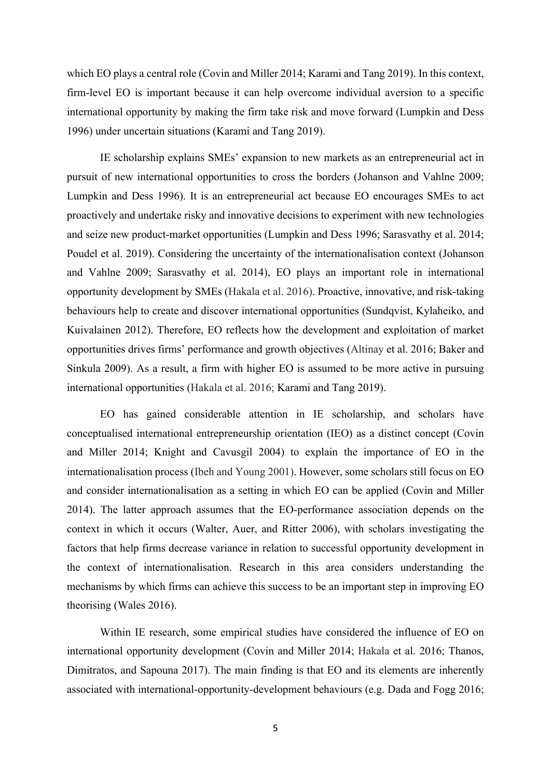which EO plays a central role (Covin and Miller 2014; Karami and Tang 2019). In this context, firm-level EO is important because it can help overcome individual aversion to a specific international opportunity by making the firm take risk and move forward (Lumpkin and Dess 1996) under uncertain situations (Karami and Tang 2019).

IE scholarship explains SMEs' expansion to new markets as an entrepreneurial act in pursuit of new international opportunities to cross the borders (Johanson and Vahlne 2009; Lumpkin and Dess 1996). It is an entrepreneurial act because EO encourages SMEs to act proactively and undertake risky and innovative decisions to experiment with new technologies and seize new product-market opportunities (Lumpkin and Dess 1996; Sarasvathy et al. 2014; Poudel et al. 2019). Considering the uncertainty of the internationalisation context (Johanson and Vahlne 2009; Sarasvathy et al. 2014), EO plays an important role in international opportunity development by SMEs (Hakala et al. 2016). Proactive, innovative, and risk-taking behaviours help to create and discover international opportunities (Sundqvist, Kylaheiko, and Kuivalainen 2012). Therefore, EO reflects how the development and exploitation of market opportunities drives firms' performance and growth objectives (Altinay et al. 2016; Baker and Sinkula 2009). As a result, a firm with higher EO is assumed to be more active in pursuing international opportunities (Hakala et al. 2016; Karami and Tang 2019).

EO has gained considerable attention in IE scholarship, and scholars have conceptualised international entrepreneurship orientation (IEO) as a distinct concept (Covin and Miller 2014; Knight and Cavusgil 2004) to explain the importance of EO in the internationalisation process (Ibeh and Young 2001). However, some scholars still focus on EO and consider internationalisation as a setting in which EO can be applied (Covin and Miller 2014). The latter approach assumes that the EO-performance association depends on the context in which it occurs (Walter, Auer, and Ritter 2006), with scholars investigating the factors that help firms decrease variance in relation to successful opportunity development in the context of internationalisation. Research in this area considers understanding the mechanisms by which firms can achieve this success to be an important step in improving EO theorising (Wales 2016).

Within IE research, some empirical studies have considered the influence of EO on international opportunity development (Covin and Miller 2014; Hakala et al. 2016; Thanos, Dimitratos, and Sapouna 2017). The main finding is that EO and its elements are inherently associated with international-opportunity-development behaviours (e.g. Dada and Fogg 2016;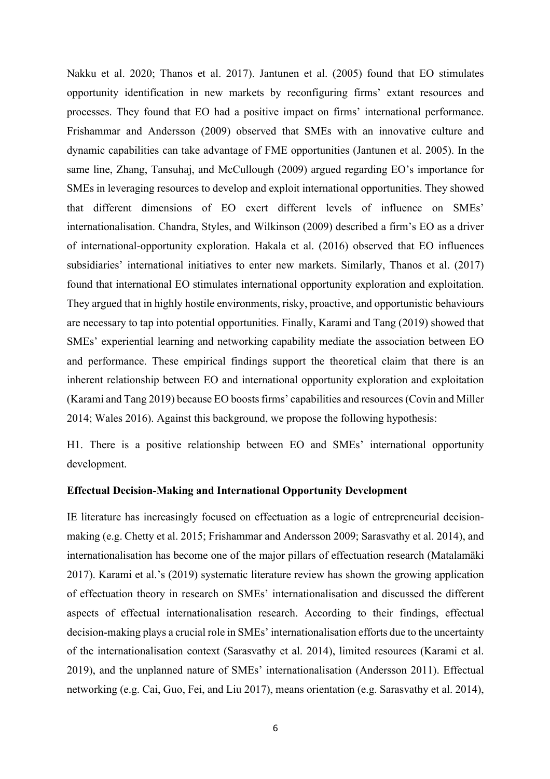Nakku et al. 2020; Thanos et al. 2017). Jantunen et al. (2005) found that EO stimulates opportunity identification in new markets by reconfiguring firms' extant resources and processes. They found that EO had a positive impact on firms' international performance. Frishammar and Andersson (2009) observed that SMEs with an innovative culture and dynamic capabilities can take advantage of FME opportunities (Jantunen et al. 2005). In the same line, Zhang, Tansuhaj, and McCullough (2009) argued regarding EO's importance for SMEs in leveraging resources to develop and exploit international opportunities. They showed that different dimensions of EO exert different levels of influence on SMEs' internationalisation. Chandra, Styles, and Wilkinson (2009) described a firm's EO as a driver of international-opportunity exploration. Hakala et al. (2016) observed that EO influences subsidiaries' international initiatives to enter new markets. Similarly, Thanos et al. (2017) found that international EO stimulates international opportunity exploration and exploitation. They argued that in highly hostile environments, risky, proactive, and opportunistic behaviours are necessary to tap into potential opportunities. Finally, Karami and Tang (2019) showed that SMEs' experiential learning and networking capability mediate the association between EO and performance. These empirical findings support the theoretical claim that there is an inherent relationship between EO and international opportunity exploration and exploitation (Karami and Tang 2019) because EO boosts firms' capabilities and resources (Covin and Miller 2014; Wales 2016). Against this background, we propose the following hypothesis:

H1. There is a positive relationship between EO and SMEs' international opportunity development.

#### **Effectual Decision-Making and International Opportunity Development**

IE literature has increasingly focused on effectuation as a logic of entrepreneurial decisionmaking (e.g. Chetty et al. 2015; Frishammar and Andersson 2009; Sarasvathy et al. 2014), and internationalisation has become one of the major pillars of effectuation research (Matalamäki 2017). Karami et al.'s (2019) systematic literature review has shown the growing application of effectuation theory in research on SMEs' internationalisation and discussed the different aspects of effectual internationalisation research. According to their findings, effectual decision-making plays a crucial role in SMEs' internationalisation efforts due to the uncertainty of the internationalisation context (Sarasvathy et al. 2014), limited resources (Karami et al. 2019), and the unplanned nature of SMEs' internationalisation (Andersson 2011). Effectual networking (e.g. Cai, Guo, Fei, and Liu 2017), means orientation (e.g. Sarasvathy et al. 2014),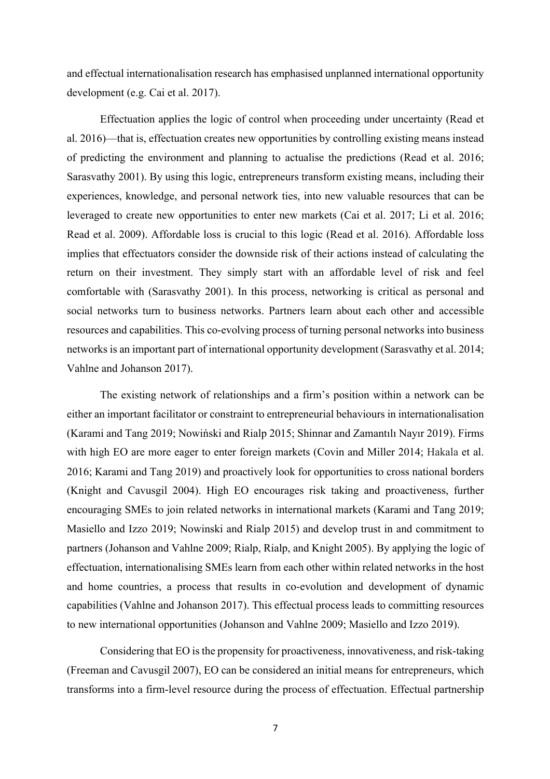and effectual internationalisation research has emphasised unplanned international opportunity development (e.g. Cai et al. 2017).

Effectuation applies the logic of control when proceeding under uncertainty (Read et al. 2016)—that is, effectuation creates new opportunities by controlling existing means instead of predicting the environment and planning to actualise the predictions (Read et al. 2016; Sarasvathy 2001). By using this logic, entrepreneurs transform existing means, including their experiences, knowledge, and personal network ties, into new valuable resources that can be leveraged to create new opportunities to enter new markets (Cai et al. 2017; Li et al. 2016; Read et al. 2009). Affordable loss is crucial to this logic (Read et al. 2016). Affordable loss implies that effectuators consider the downside risk of their actions instead of calculating the return on their investment. They simply start with an affordable level of risk and feel comfortable with (Sarasvathy 2001). In this process, networking is critical as personal and social networks turn to business networks. Partners learn about each other and accessible resources and capabilities. This co-evolving process of turning personal networks into business networks is an important part of international opportunity development (Sarasvathy et al. 2014; Vahlne and Johanson 2017).

The existing network of relationships and a firm's position within a network can be either an important facilitator or constraint to entrepreneurial behaviours in internationalisation (Karami and Tang 2019; Nowiński and Rialp 2015; Shinnar and Zamantılı Nayır 2019). Firms with high EO are more eager to enter foreign markets (Covin and Miller 2014; Hakala et al. 2016; Karami and Tang 2019) and proactively look for opportunities to cross national borders (Knight and Cavusgil 2004). High EO encourages risk taking and proactiveness, further encouraging SMEs to join related networks in international markets (Karami and Tang 2019; Masiello and Izzo 2019; Nowinski and Rialp 2015) and develop trust in and commitment to partners (Johanson and Vahlne 2009; Rialp, Rialp, and Knight 2005). By applying the logic of effectuation, internationalising SMEs learn from each other within related networks in the host and home countries, a process that results in co-evolution and development of dynamic capabilities (Vahlne and Johanson 2017). This effectual process leads to committing resources to new international opportunities (Johanson and Vahlne 2009; Masiello and Izzo 2019).

Considering that EO is the propensity for proactiveness, innovativeness, and risk-taking (Freeman and Cavusgil 2007), EO can be considered an initial means for entrepreneurs, which transforms into a firm-level resource during the process of effectuation. Effectual partnership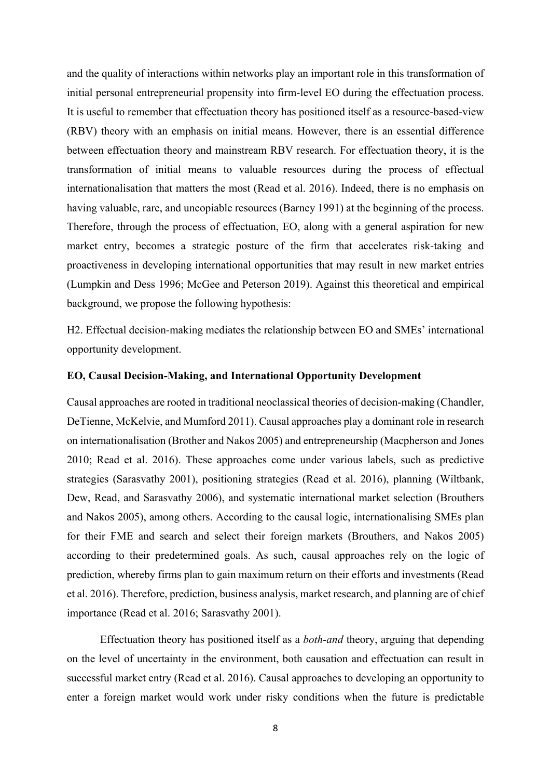and the quality of interactions within networks play an important role in this transformation of initial personal entrepreneurial propensity into firm-level EO during the effectuation process. It is useful to remember that effectuation theory has positioned itself as a resource-based-view (RBV) theory with an emphasis on initial means. However, there is an essential difference between effectuation theory and mainstream RBV research. For effectuation theory, it is the transformation of initial means to valuable resources during the process of effectual internationalisation that matters the most (Read et al. 2016). Indeed, there is no emphasis on having valuable, rare, and uncopiable resources (Barney 1991) at the beginning of the process. Therefore, through the process of effectuation, EO, along with a general aspiration for new market entry, becomes a strategic posture of the firm that accelerates risk-taking and proactiveness in developing international opportunities that may result in new market entries (Lumpkin and Dess 1996; McGee and Peterson 2019). Against this theoretical and empirical background, we propose the following hypothesis:

H2. Effectual decision-making mediates the relationship between EO and SMEs' international opportunity development.

#### **EO, Causal Decision-Making, and International Opportunity Development**

Causal approaches are rooted in traditional neoclassical theories of decision-making (Chandler, DeTienne, McKelvie, and Mumford 2011). Causal approaches play a dominant role in research on internationalisation (Brother and Nakos 2005) and entrepreneurship (Macpherson and Jones 2010; Read et al. 2016). These approaches come under various labels, such as predictive strategies (Sarasvathy 2001), positioning strategies (Read et al. 2016), planning (Wiltbank, Dew, Read, and Sarasvathy 2006), and systematic international market selection (Brouthers and Nakos 2005), among others. According to the causal logic, internationalising SMEs plan for their FME and search and select their foreign markets (Brouthers, and Nakos 2005) according to their predetermined goals. As such, causal approaches rely on the logic of prediction, whereby firms plan to gain maximum return on their efforts and investments (Read et al. 2016). Therefore, prediction, business analysis, market research, and planning are of chief importance (Read et al. 2016; Sarasvathy 2001).

Effectuation theory has positioned itself as a *both-and* theory, arguing that depending on the level of uncertainty in the environment, both causation and effectuation can result in successful market entry (Read et al. 2016). Causal approaches to developing an opportunity to enter a foreign market would work under risky conditions when the future is predictable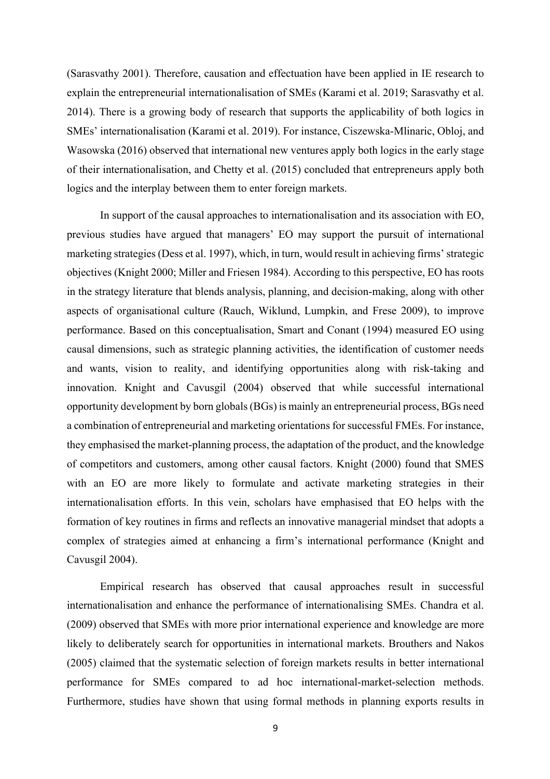(Sarasvathy 2001). Therefore, causation and effectuation have been applied in IE research to explain the entrepreneurial internationalisation of SMEs (Karami et al. 2019; Sarasvathy et al. 2014). There is a growing body of research that supports the applicability of both logics in SMEs' internationalisation (Karami et al. 2019). For instance, Ciszewska-Mlinaric, Obloj, and Wasowska (2016) observed that international new ventures apply both logics in the early stage of their internationalisation, and Chetty et al. (2015) concluded that entrepreneurs apply both logics and the interplay between them to enter foreign markets.

In support of the causal approaches to internationalisation and its association with EO, previous studies have argued that managers' EO may support the pursuit of international marketing strategies (Dess et al. 1997), which, in turn, would result in achieving firms' strategic objectives (Knight 2000; Miller and Friesen 1984). According to this perspective, EO has roots in the strategy literature that blends analysis, planning, and decision-making, along with other aspects of organisational culture (Rauch, Wiklund, Lumpkin, and Frese 2009), to improve performance. Based on this conceptualisation, Smart and Conant (1994) measured EO using causal dimensions, such as strategic planning activities, the identification of customer needs and wants, vision to reality, and identifying opportunities along with risk-taking and innovation. Knight and Cavusgil (2004) observed that while successful international opportunity development by born globals (BGs) is mainly an entrepreneurial process, BGs need a combination of entrepreneurial and marketing orientations for successful FMEs. For instance, they emphasised the market-planning process, the adaptation of the product, and the knowledge of competitors and customers, among other causal factors. Knight (2000) found that SMES with an EO are more likely to formulate and activate marketing strategies in their internationalisation efforts. In this vein, scholars have emphasised that EO helps with the formation of key routines in firms and reflects an innovative managerial mindset that adopts a complex of strategies aimed at enhancing a firm's international performance (Knight and Cavusgil 2004).

Empirical research has observed that causal approaches result in successful internationalisation and enhance the performance of internationalising SMEs. Chandra et al. (2009) observed that SMEs with more prior international experience and knowledge are more likely to deliberately search for opportunities in international markets. Brouthers and Nakos (2005) claimed that the systematic selection of foreign markets results in better international performance for SMEs compared to ad hoc international-market-selection methods. Furthermore, studies have shown that using formal methods in planning exports results in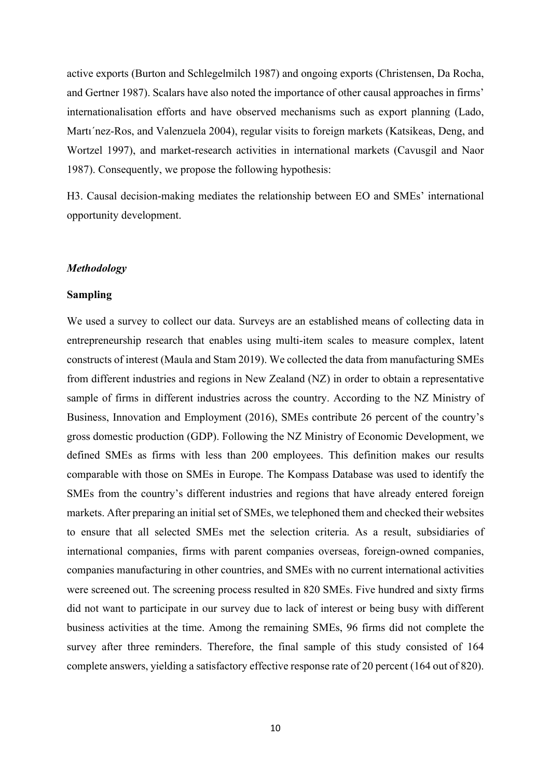active exports (Burton and Schlegelmilch 1987) and ongoing exports (Christensen, Da Rocha, and Gertner 1987). Scalars have also noted the importance of other causal approaches in firms' internationalisation efforts and have observed mechanisms such as export planning (Lado, Martı´nez-Ros, and Valenzuela 2004), regular visits to foreign markets (Katsikeas, Deng, and Wortzel 1997), and market-research activities in international markets (Cavusgil and Naor 1987). Consequently, we propose the following hypothesis:

H3. Causal decision-making mediates the relationship between EO and SMEs' international opportunity development.

#### *Methodology*

#### **Sampling**

We used a survey to collect our data. Surveys are an established means of collecting data in entrepreneurship research that enables using multi-item scales to measure complex, latent constructs of interest (Maula and Stam 2019). We collected the data from manufacturing SMEs from different industries and regions in New Zealand (NZ) in order to obtain a representative sample of firms in different industries across the country. According to the NZ Ministry of Business, Innovation and Employment (2016), SMEs contribute 26 percent of the country's gross domestic production (GDP). Following the NZ Ministry of Economic Development, we defined SMEs as firms with less than 200 employees. This definition makes our results comparable with those on SMEs in Europe. The Kompass Database was used to identify the SMEs from the country's different industries and regions that have already entered foreign markets. After preparing an initial set of SMEs, we telephoned them and checked their websites to ensure that all selected SMEs met the selection criteria. As a result, subsidiaries of international companies, firms with parent companies overseas, foreign-owned companies, companies manufacturing in other countries, and SMEs with no current international activities were screened out. The screening process resulted in 820 SMEs. Five hundred and sixty firms did not want to participate in our survey due to lack of interest or being busy with different business activities at the time. Among the remaining SMEs, 96 firms did not complete the survey after three reminders. Therefore, the final sample of this study consisted of 164 complete answers, yielding a satisfactory effective response rate of 20 percent (164 out of 820).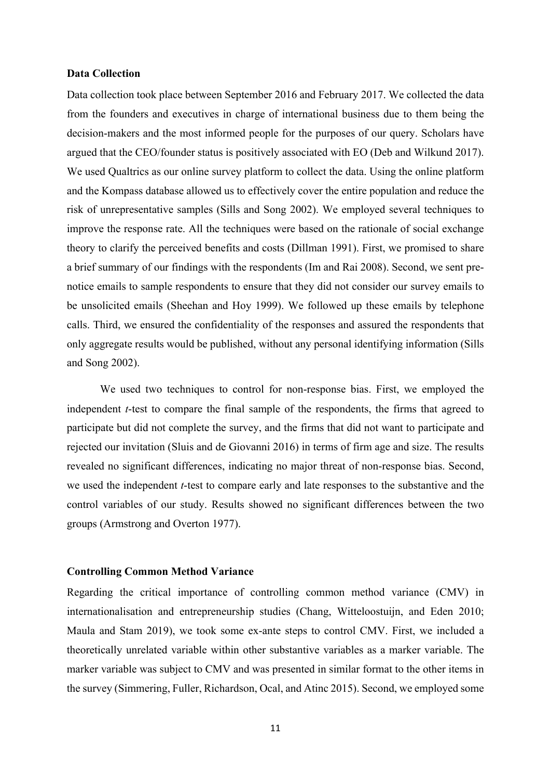#### **Data Collection**

Data collection took place between September 2016 and February 2017. We collected the data from the founders and executives in charge of international business due to them being the decision-makers and the most informed people for the purposes of our query. Scholars have argued that the CEO/founder status is positively associated with EO (Deb and Wilkund 2017). We used Qualtrics as our online survey platform to collect the data. Using the online platform and the Kompass database allowed us to effectively cover the entire population and reduce the risk of unrepresentative samples (Sills and Song 2002). We employed several techniques to improve the response rate. All the techniques were based on the rationale of social exchange theory to clarify the perceived benefits and costs (Dillman 1991). First, we promised to share a brief summary of our findings with the respondents (Im and Rai 2008). Second, we sent prenotice emails to sample respondents to ensure that they did not consider our survey emails to be unsolicited emails (Sheehan and Hoy 1999). We followed up these emails by telephone calls. Third, we ensured the confidentiality of the responses and assured the respondents that only aggregate results would be published, without any personal identifying information (Sills and Song 2002).

We used two techniques to control for non-response bias. First, we employed the independent *t*-test to compare the final sample of the respondents, the firms that agreed to participate but did not complete the survey, and the firms that did not want to participate and rejected our invitation (Sluis and de Giovanni 2016) in terms of firm age and size. The results revealed no significant differences, indicating no major threat of non-response bias. Second, we used the independent *t*-test to compare early and late responses to the substantive and the control variables of our study. Results showed no significant differences between the two groups (Armstrong and Overton 1977).

#### **Controlling Common Method Variance**

Regarding the critical importance of controlling common method variance (CMV) in internationalisation and entrepreneurship studies (Chang, Witteloostuijn, and Eden 2010; Maula and Stam 2019), we took some ex-ante steps to control CMV. First, we included a theoretically unrelated variable within other substantive variables as a marker variable. The marker variable was subject to CMV and was presented in similar format to the other items in the survey (Simmering, Fuller, Richardson, Ocal, and Atinc 2015). Second, we employed some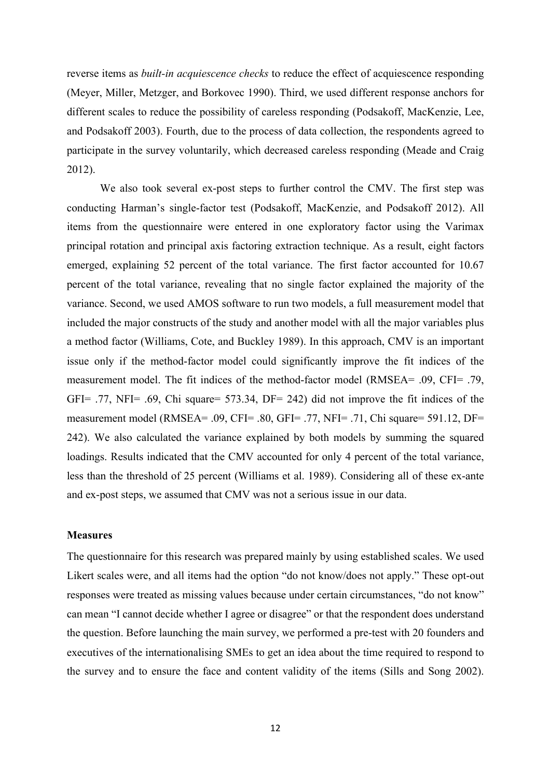reverse items as *built-in acquiescence checks* to reduce the effect of acquiescence responding (Meyer, Miller, Metzger, and Borkovec 1990). Third, we used different response anchors for different scales to reduce the possibility of careless responding (Podsakoff, MacKenzie, Lee, and Podsakoff 2003). Fourth, due to the process of data collection, the respondents agreed to participate in the survey voluntarily, which decreased careless responding (Meade and Craig 2012).

We also took several ex-post steps to further control the CMV. The first step was conducting Harman's single-factor test (Podsakoff, MacKenzie, and Podsakoff 2012). All items from the questionnaire were entered in one exploratory factor using the Varimax principal rotation and principal axis factoring extraction technique. As a result, eight factors emerged, explaining 52 percent of the total variance. The first factor accounted for 10.67 percent of the total variance, revealing that no single factor explained the majority of the variance. Second, we used AMOS software to run two models, a full measurement model that included the major constructs of the study and another model with all the major variables plus a method factor (Williams, Cote, and Buckley 1989). In this approach, CMV is an important issue only if the method-factor model could significantly improve the fit indices of the measurement model. The fit indices of the method-factor model (RMSEA= .09, CFI= .79, GFI= .77, NFI= .69, Chi square= 573.34, DF= 242) did not improve the fit indices of the measurement model (RMSEA= .09, CFI= .80, GFI= .77, NFI= .71, Chi square= 591.12, DF= 242). We also calculated the variance explained by both models by summing the squared loadings. Results indicated that the CMV accounted for only 4 percent of the total variance, less than the threshold of 25 percent (Williams et al. 1989). Considering all of these ex-ante and ex-post steps, we assumed that CMV was not a serious issue in our data.

#### **Measures**

The questionnaire for this research was prepared mainly by using established scales. We used Likert scales were, and all items had the option "do not know/does not apply." These opt-out responses were treated as missing values because under certain circumstances, "do not know" can mean "I cannot decide whether I agree or disagree" or that the respondent does understand the question. Before launching the main survey, we performed a pre-test with 20 founders and executives of the internationalising SMEs to get an idea about the time required to respond to the survey and to ensure the face and content validity of the items (Sills and Song 2002).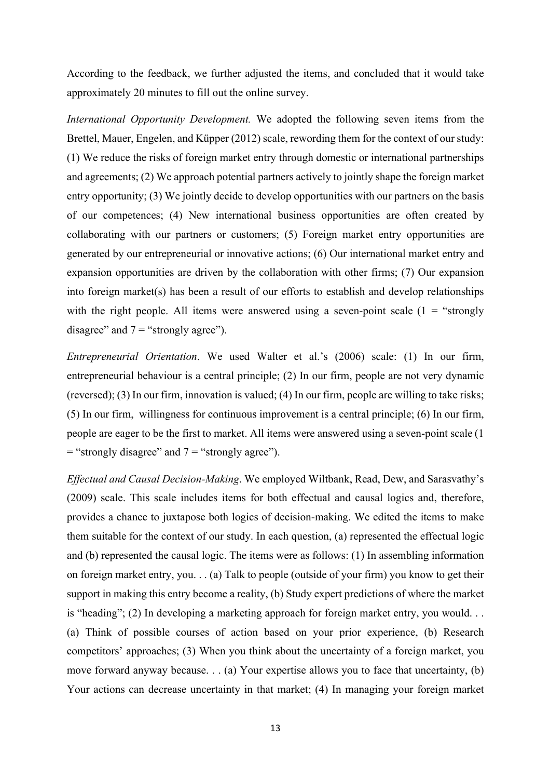According to the feedback, we further adjusted the items, and concluded that it would take approximately 20 minutes to fill out the online survey.

*International Opportunity Development.* We adopted the following seven items from the Brettel, Mauer, Engelen, and Küpper (2012) scale, rewording them for the context of our study: (1) We reduce the risks of foreign market entry through domestic or international partnerships and agreements; (2) We approach potential partners actively to jointly shape the foreign market entry opportunity; (3) We jointly decide to develop opportunities with our partners on the basis of our competences; (4) New international business opportunities are often created by collaborating with our partners or customers; (5) Foreign market entry opportunities are generated by our entrepreneurial or innovative actions; (6) Our international market entry and expansion opportunities are driven by the collaboration with other firms; (7) Our expansion into foreign market(s) has been a result of our efforts to establish and develop relationships with the right people. All items were answered using a seven-point scale  $(1 = "strongly$ disagree" and  $7 =$  "strongly agree").

*Entrepreneurial Orientation*. We used Walter et al.'s (2006) scale: (1) In our firm, entrepreneurial behaviour is a central principle; (2) In our firm, people are not very dynamic (reversed); (3) In our firm, innovation is valued; (4) In our firm, people are willing to take risks; (5) In our firm, willingness for continuous improvement is a central principle; (6) In our firm, people are eager to be the first to market. All items were answered using a seven-point scale (1  $=$  "strongly disagree" and  $7 =$  "strongly agree").

*Effectual and Causal Decision-Making*. We employed Wiltbank, Read, Dew, and Sarasvathy's (2009) scale. This scale includes items for both effectual and causal logics and, therefore, provides a chance to juxtapose both logics of decision-making. We edited the items to make them suitable for the context of our study. In each question, (a) represented the effectual logic and (b) represented the causal logic. The items were as follows: (1) In assembling information on foreign market entry, you. . . (a) Talk to people (outside of your firm) you know to get their support in making this entry become a reality, (b) Study expert predictions of where the market is "heading"; (2) In developing a marketing approach for foreign market entry, you would. . . (a) Think of possible courses of action based on your prior experience, (b) Research competitors' approaches; (3) When you think about the uncertainty of a foreign market, you move forward anyway because. . . (a) Your expertise allows you to face that uncertainty, (b) Your actions can decrease uncertainty in that market; (4) In managing your foreign market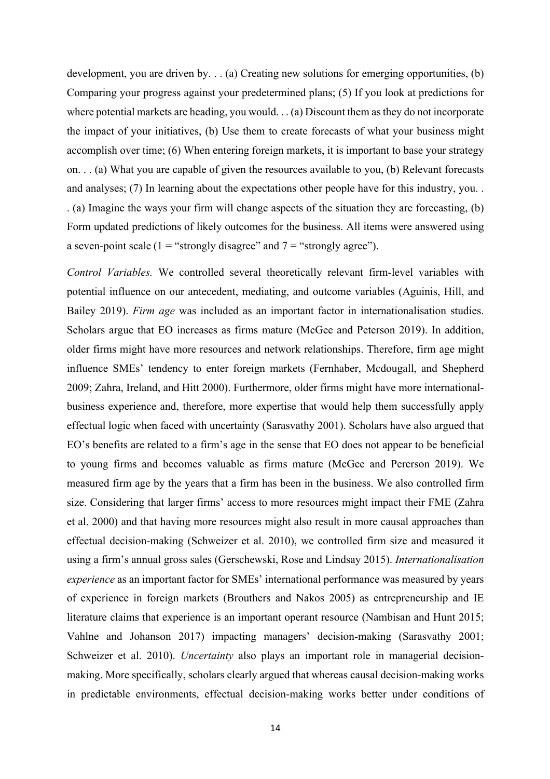development, you are driven by. . . (a) Creating new solutions for emerging opportunities, (b) Comparing your progress against your predetermined plans; (5) If you look at predictions for where potential markets are heading, you would. . . (a) Discount them as they do not incorporate the impact of your initiatives, (b) Use them to create forecasts of what your business might accomplish over time; (6) When entering foreign markets, it is important to base your strategy on. . . (a) What you are capable of given the resources available to you, (b) Relevant forecasts and analyses; (7) In learning about the expectations other people have for this industry, you. . . (a) Imagine the ways your firm will change aspects of the situation they are forecasting, (b) Form updated predictions of likely outcomes for the business. All items were answered using a seven-point scale (1 = "strongly disagree" and  $7 =$  "strongly agree").

*Control Variables.* We controlled several theoretically relevant firm-level variables with potential influence on our antecedent, mediating, and outcome variables (Aguinis, Hill, and Bailey 2019). *Firm age* was included as an important factor in internationalisation studies. Scholars argue that EO increases as firms mature (McGee and Peterson 2019). In addition, older firms might have more resources and network relationships. Therefore, firm age might influence SMEs' tendency to enter foreign markets (Fernhaber, Mcdougall, and Shepherd 2009; Zahra, Ireland, and Hitt 2000). Furthermore, older firms might have more internationalbusiness experience and, therefore, more expertise that would help them successfully apply effectual logic when faced with uncertainty (Sarasvathy 2001). Scholars have also argued that EO's benefits are related to a firm's age in the sense that EO does not appear to be beneficial to young firms and becomes valuable as firms mature (McGee and Pererson 2019). We measured firm age by the years that a firm has been in the business. We also controlled firm size. Considering that larger firms' access to more resources might impact their FME (Zahra et al. 2000) and that having more resources might also result in more causal approaches than effectual decision-making (Schweizer et al. 2010), we controlled firm size and measured it using a firm's annual gross sales (Gerschewski, Rose and Lindsay 2015). *Internationalisation experience* as an important factor for SMEs' international performance was measured by years of experience in foreign markets (Brouthers and Nakos 2005) as entrepreneurship and IE literature claims that experience is an important operant resource (Nambisan and Hunt 2015; Vahlne and Johanson 2017) impacting managers' decision-making (Sarasvathy 2001; Schweizer et al. 2010). *Uncertainty* also plays an important role in managerial decisionmaking. More specifically, scholars clearly argued that whereas causal decision-making works in predictable environments, effectual decision-making works better under conditions of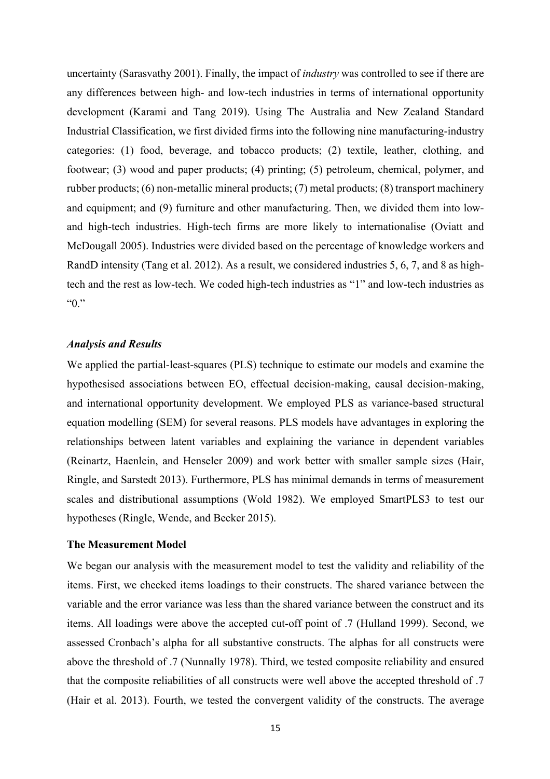uncertainty (Sarasvathy 2001). Finally, the impact of *industry* was controlled to see if there are any differences between high- and low-tech industries in terms of international opportunity development (Karami and Tang 2019). Using The Australia and New Zealand Standard Industrial Classification, we first divided firms into the following nine manufacturing-industry categories: (1) food, beverage, and tobacco products; (2) textile, leather, clothing, and footwear; (3) wood and paper products; (4) printing; (5) petroleum, chemical, polymer, and rubber products; (6) non-metallic mineral products; (7) metal products; (8) transport machinery and equipment; and (9) furniture and other manufacturing. Then, we divided them into lowand high-tech industries. High-tech firms are more likely to internationalise (Oviatt and McDougall 2005). Industries were divided based on the percentage of knowledge workers and RandD intensity (Tang et al. 2012). As a result, we considered industries 5, 6, 7, and 8 as hightech and the rest as low-tech. We coded high-tech industries as "1" and low-tech industries as "0."

#### *Analysis and Results*

We applied the partial-least-squares (PLS) technique to estimate our models and examine the hypothesised associations between EO, effectual decision-making, causal decision-making, and international opportunity development. We employed PLS as variance-based structural equation modelling (SEM) for several reasons. PLS models have advantages in exploring the relationships between latent variables and explaining the variance in dependent variables (Reinartz, Haenlein, and Henseler 2009) and work better with smaller sample sizes (Hair, Ringle, and Sarstedt 2013). Furthermore, PLS has minimal demands in terms of measurement scales and distributional assumptions (Wold 1982). We employed SmartPLS3 to test our hypotheses (Ringle, Wende, and Becker 2015).

#### **The Measurement Model**

We began our analysis with the measurement model to test the validity and reliability of the items. First, we checked items loadings to their constructs. The shared variance between the variable and the error variance was less than the shared variance between the construct and its items. All loadings were above the accepted cut-off point of .7 (Hulland 1999). Second, we assessed Cronbach's alpha for all substantive constructs. The alphas for all constructs were above the threshold of .7 (Nunnally 1978). Third, we tested composite reliability and ensured that the composite reliabilities of all constructs were well above the accepted threshold of .7 (Hair et al. 2013). Fourth, we tested the convergent validity of the constructs. The average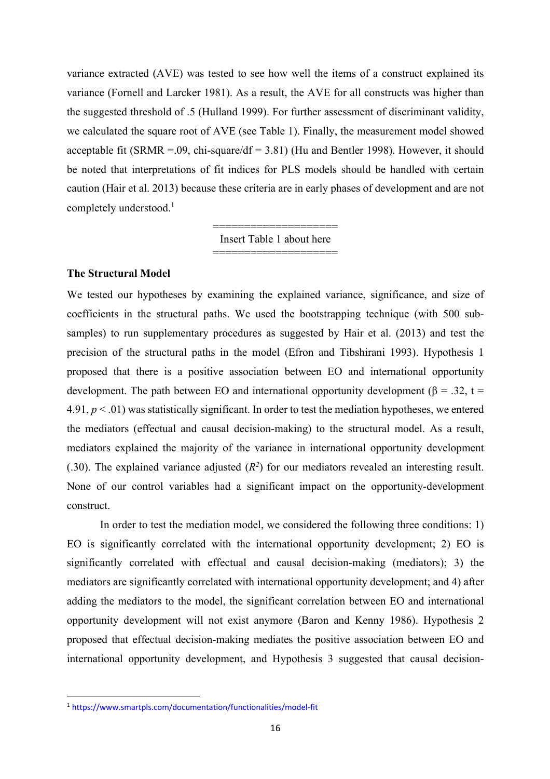variance extracted (AVE) was tested to see how well the items of a construct explained its variance (Fornell and Larcker 1981). As a result, the AVE for all constructs was higher than the suggested threshold of .5 (Hulland 1999). For further assessment of discriminant validity, we calculated the square root of AVE (see Table 1). Finally, the measurement model showed acceptable fit (SRMR = 0.09, chi-square/df = 3.81) (Hu and Bentler 1998). However, it should be noted that interpretations of fit indices for PLS models should be handled with certain caution (Hair et al. 2013) because these criteria are in early phases of development and are not completely understood.<sup>1</sup>

> ==================== Insert Table 1 about here ====================

#### **The Structural Model**

We tested our hypotheses by examining the explained variance, significance, and size of coefficients in the structural paths. We used the bootstrapping technique (with 500 subsamples) to run supplementary procedures as suggested by Hair et al. (2013) and test the precision of the structural paths in the model (Efron and Tibshirani 1993). Hypothesis 1 proposed that there is a positive association between EO and international opportunity development. The path between EO and international opportunity development ( $\beta$  = .32, t =  $4.91, p \leq 0.01$ ) was statistically significant. In order to test the mediation hypotheses, we entered the mediators (effectual and causal decision-making) to the structural model. As a result, mediators explained the majority of the variance in international opportunity development (.30). The explained variance adjusted  $(R^2)$  for our mediators revealed an interesting result. None of our control variables had a significant impact on the opportunity-development construct.

In order to test the mediation model, we considered the following three conditions: 1) EO is significantly correlated with the international opportunity development; 2) EO is significantly correlated with effectual and causal decision-making (mediators); 3) the mediators are significantly correlated with international opportunity development; and 4) after adding the mediators to the model, the significant correlation between EO and international opportunity development will not exist anymore (Baron and Kenny 1986). Hypothesis 2 proposed that effectual decision-making mediates the positive association between EO and international opportunity development, and Hypothesis 3 suggested that causal decision-

<sup>1</sup> https://www.smartpls.com/documentation/functionalities/model-fit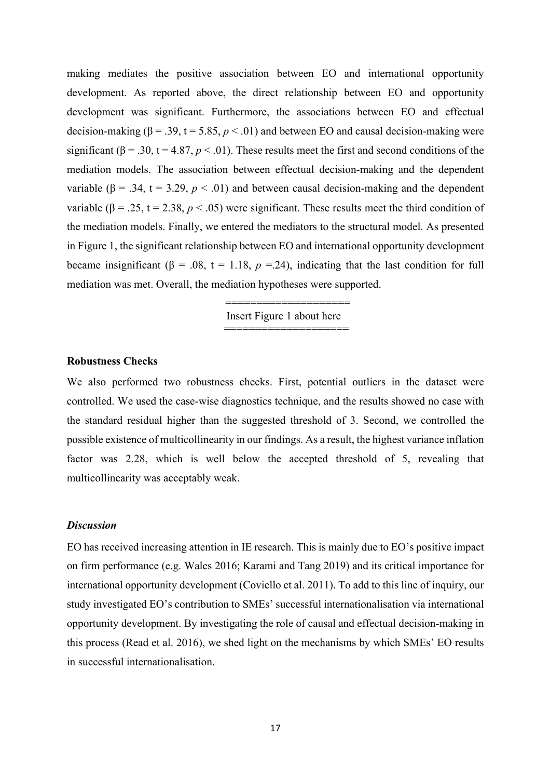making mediates the positive association between EO and international opportunity development. As reported above, the direct relationship between EO and opportunity development was significant. Furthermore, the associations between EO and effectual decision-making ( $β = .39$ ,  $t = 5.85$ ,  $p < .01$ ) and between EO and causal decision-making were significant ( $\beta$  = .30, t = 4.87,  $p < .01$ ). These results meet the first and second conditions of the mediation models. The association between effectual decision-making and the dependent variable ( $\beta$  = .34, t = 3.29,  $p < .01$ ) and between causal decision-making and the dependent variable ( $\beta = 0.25$ ,  $t = 2.38$ ,  $p < 0.05$ ) were significant. These results meet the third condition of the mediation models. Finally, we entered the mediators to the structural model. As presented in Figure 1, the significant relationship between EO and international opportunity development became insignificant ( $\beta = .08$ ,  $t = 1.18$ ,  $p = .24$ ), indicating that the last condition for full mediation was met. Overall, the mediation hypotheses were supported.

> ======================== Insert Figure 1 about here ========================

#### **Robustness Checks**

We also performed two robustness checks. First, potential outliers in the dataset were controlled. We used the case-wise diagnostics technique, and the results showed no case with the standard residual higher than the suggested threshold of 3. Second, we controlled the possible existence of multicollinearity in our findings. As a result, the highest variance inflation factor was 2.28, which is well below the accepted threshold of 5, revealing that multicollinearity was acceptably weak.

#### *Discussion*

EO has received increasing attention in IE research. This is mainly due to EO's positive impact on firm performance (e.g. Wales 2016; Karami and Tang 2019) and its critical importance for international opportunity development (Coviello et al. 2011). To add to this line of inquiry, our study investigated EO's contribution to SMEs' successful internationalisation via international opportunity development. By investigating the role of causal and effectual decision-making in this process (Read et al. 2016), we shed light on the mechanisms by which SMEs' EO results in successful internationalisation.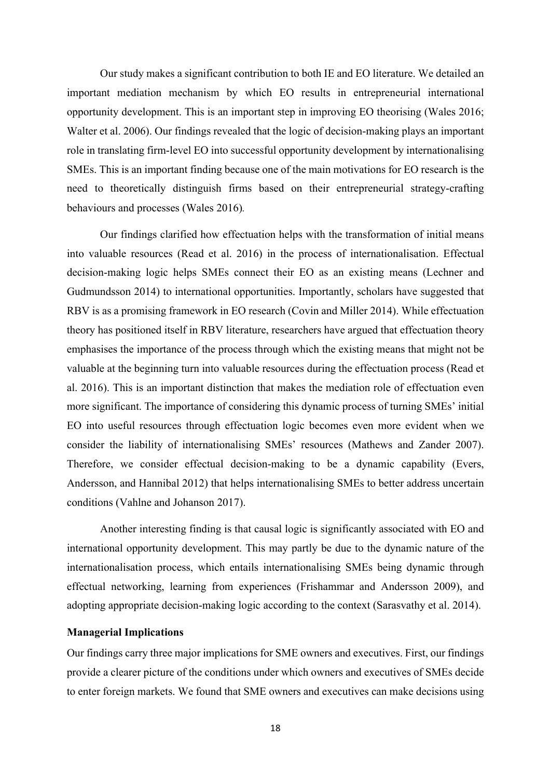Our study makes a significant contribution to both IE and EO literature. We detailed an important mediation mechanism by which EO results in entrepreneurial international opportunity development. This is an important step in improving EO theorising (Wales 2016; Walter et al. 2006). Our findings revealed that the logic of decision-making plays an important role in translating firm-level EO into successful opportunity development by internationalising SMEs. This is an important finding because one of the main motivations for EO research is the need to theoretically distinguish firms based on their entrepreneurial strategy-crafting behaviours and processes (Wales 2016)*.* 

Our findings clarified how effectuation helps with the transformation of initial means into valuable resources (Read et al. 2016) in the process of internationalisation. Effectual decision-making logic helps SMEs connect their EO as an existing means (Lechner and Gudmundsson 2014) to international opportunities. Importantly, scholars have suggested that RBV is as a promising framework in EO research (Covin and Miller 2014). While effectuation theory has positioned itself in RBV literature, researchers have argued that effectuation theory emphasises the importance of the process through which the existing means that might not be valuable at the beginning turn into valuable resources during the effectuation process (Read et al. 2016). This is an important distinction that makes the mediation role of effectuation even more significant. The importance of considering this dynamic process of turning SMEs' initial EO into useful resources through effectuation logic becomes even more evident when we consider the liability of internationalising SMEs' resources (Mathews and Zander 2007). Therefore, we consider effectual decision-making to be a dynamic capability (Evers, Andersson, and Hannibal 2012) that helps internationalising SMEs to better address uncertain conditions (Vahlne and Johanson 2017).

Another interesting finding is that causal logic is significantly associated with EO and international opportunity development. This may partly be due to the dynamic nature of the internationalisation process, which entails internationalising SMEs being dynamic through effectual networking, learning from experiences (Frishammar and Andersson 2009), and adopting appropriate decision-making logic according to the context (Sarasvathy et al. 2014).

#### **Managerial Implications**

Our findings carry three major implications for SME owners and executives. First, our findings provide a clearer picture of the conditions under which owners and executives of SMEs decide to enter foreign markets. We found that SME owners and executives can make decisions using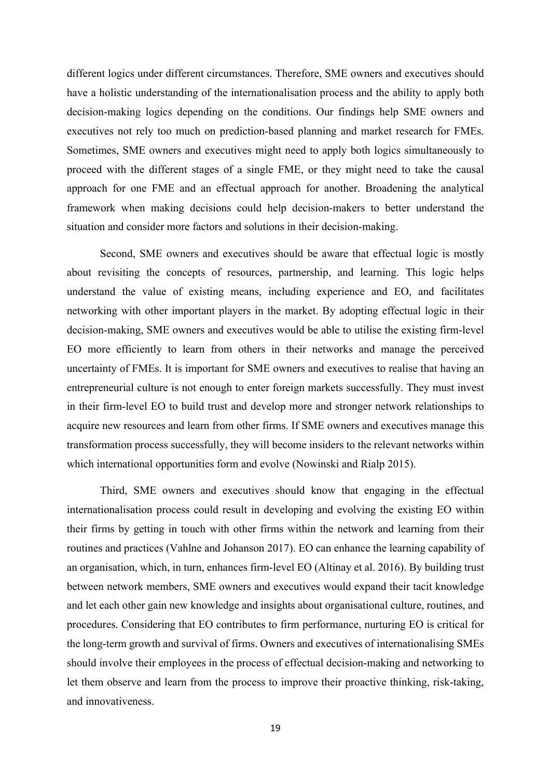different logics under different circumstances. Therefore, SME owners and executives should have a holistic understanding of the internationalisation process and the ability to apply both decision-making logics depending on the conditions. Our findings help SME owners and executives not rely too much on prediction-based planning and market research for FMEs. Sometimes, SME owners and executives might need to apply both logics simultaneously to proceed with the different stages of a single FME, or they might need to take the causal approach for one FME and an effectual approach for another. Broadening the analytical framework when making decisions could help decision-makers to better understand the situation and consider more factors and solutions in their decision-making.

Second, SME owners and executives should be aware that effectual logic is mostly about revisiting the concepts of resources, partnership, and learning. This logic helps understand the value of existing means, including experience and EO, and facilitates networking with other important players in the market. By adopting effectual logic in their decision-making, SME owners and executives would be able to utilise the existing firm-level EO more efficiently to learn from others in their networks and manage the perceived uncertainty of FMEs. It is important for SME owners and executives to realise that having an entrepreneurial culture is not enough to enter foreign markets successfully. They must invest in their firm-level EO to build trust and develop more and stronger network relationships to acquire new resources and learn from other firms. If SME owners and executives manage this transformation process successfully, they will become insiders to the relevant networks within which international opportunities form and evolve (Nowinski and Rialp 2015).

Third, SME owners and executives should know that engaging in the effectual internationalisation process could result in developing and evolving the existing EO within their firms by getting in touch with other firms within the network and learning from their routines and practices (Vahlne and Johanson 2017). EO can enhance the learning capability of an organisation, which, in turn, enhances firm-level EO (Altinay et al. 2016). By building trust between network members, SME owners and executives would expand their tacit knowledge and let each other gain new knowledge and insights about organisational culture, routines, and procedures. Considering that EO contributes to firm performance, nurturing EO is critical for the long-term growth and survival of firms. Owners and executives of internationalising SMEs should involve their employees in the process of effectual decision-making and networking to let them observe and learn from the process to improve their proactive thinking, risk-taking, and innovativeness.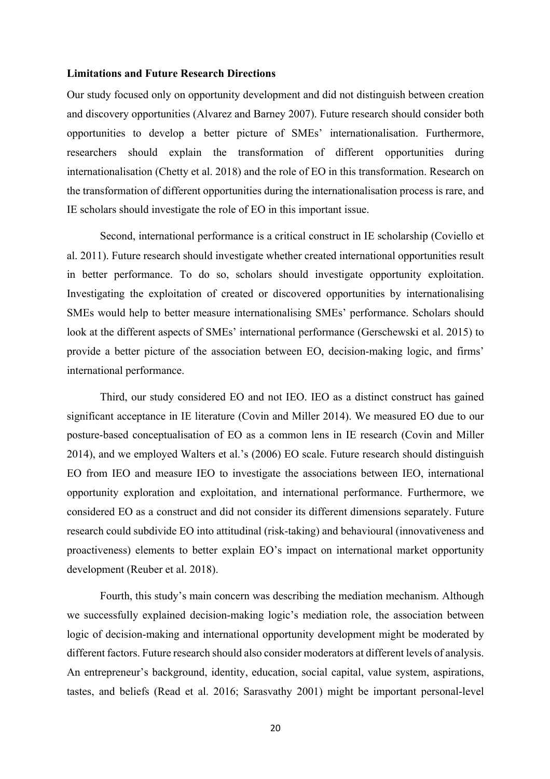#### **Limitations and Future Research Directions**

Our study focused only on opportunity development and did not distinguish between creation and discovery opportunities (Alvarez and Barney 2007). Future research should consider both opportunities to develop a better picture of SMEs' internationalisation. Furthermore, researchers should explain the transformation of different opportunities during internationalisation (Chetty et al. 2018) and the role of EO in this transformation. Research on the transformation of different opportunities during the internationalisation process is rare, and IE scholars should investigate the role of EO in this important issue.

Second, international performance is a critical construct in IE scholarship (Coviello et al. 2011). Future research should investigate whether created international opportunities result in better performance. To do so, scholars should investigate opportunity exploitation. Investigating the exploitation of created or discovered opportunities by internationalising SMEs would help to better measure internationalising SMEs' performance. Scholars should look at the different aspects of SMEs' international performance (Gerschewski et al. 2015) to provide a better picture of the association between EO, decision-making logic, and firms' international performance.

Third, our study considered EO and not IEO. IEO as a distinct construct has gained significant acceptance in IE literature (Covin and Miller 2014). We measured EO due to our posture-based conceptualisation of EO as a common lens in IE research (Covin and Miller 2014), and we employed Walters et al.'s (2006) EO scale. Future research should distinguish EO from IEO and measure IEO to investigate the associations between IEO, international opportunity exploration and exploitation, and international performance. Furthermore, we considered EO as a construct and did not consider its different dimensions separately. Future research could subdivide EO into attitudinal (risk-taking) and behavioural (innovativeness and proactiveness) elements to better explain EO's impact on international market opportunity development (Reuber et al. 2018).

Fourth, this study's main concern was describing the mediation mechanism. Although we successfully explained decision-making logic's mediation role, the association between logic of decision-making and international opportunity development might be moderated by different factors. Future research should also consider moderators at different levels of analysis. An entrepreneur's background, identity, education, social capital, value system, aspirations, tastes, and beliefs (Read et al. 2016; Sarasvathy 2001) might be important personal-level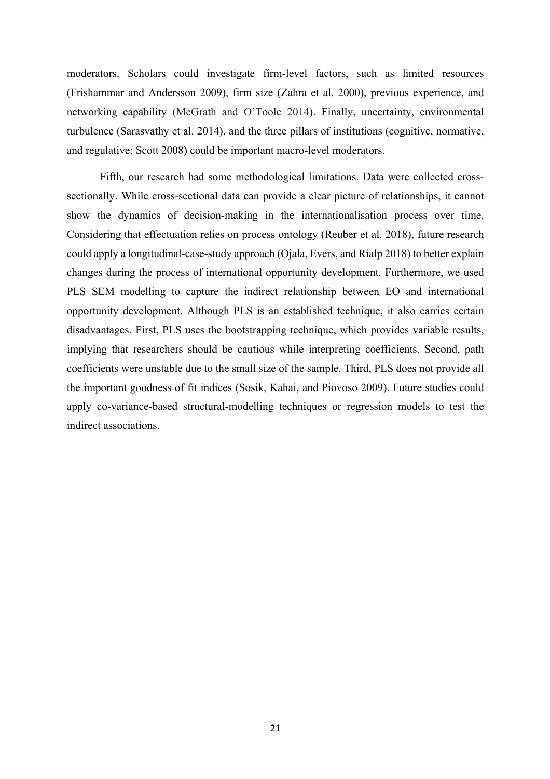moderators. Scholars could investigate firm-level factors, such as limited resources (Frishammar and Andersson 2009), firm size (Zahra et al. 2000), previous experience, and networking capability (McGrath and O'Toole 2014). Finally, uncertainty, environmental turbulence (Sarasvathy et al. 2014), and the three pillars of institutions (cognitive, normative, and regulative; Scott 2008) could be important macro-level moderators.

Fifth, our research had some methodological limitations. Data were collected crosssectionally. While cross-sectional data can provide a clear picture of relationships, it cannot show the dynamics of decision-making in the internationalisation process over time. Considering that effectuation relies on process ontology (Reuber et al. 2018), future research could apply a longitudinal-case-study approach (Ojala, Evers, and Rialp 2018) to better explain changes during the process of international opportunity development. Furthermore, we used PLS SEM modelling to capture the indirect relationship between EO and international opportunity development. Although PLS is an established technique, it also carries certain disadvantages. First, PLS uses the bootstrapping technique, which provides variable results, implying that researchers should be cautious while interpreting coefficients. Second, path coefficients were unstable due to the small size of the sample. Third, PLS does not provide all the important goodness of fit indices (Sosik, Kahai, and Piovoso 2009). Future studies could apply co-variance-based structural-modelling techniques or regression models to test the indirect associations.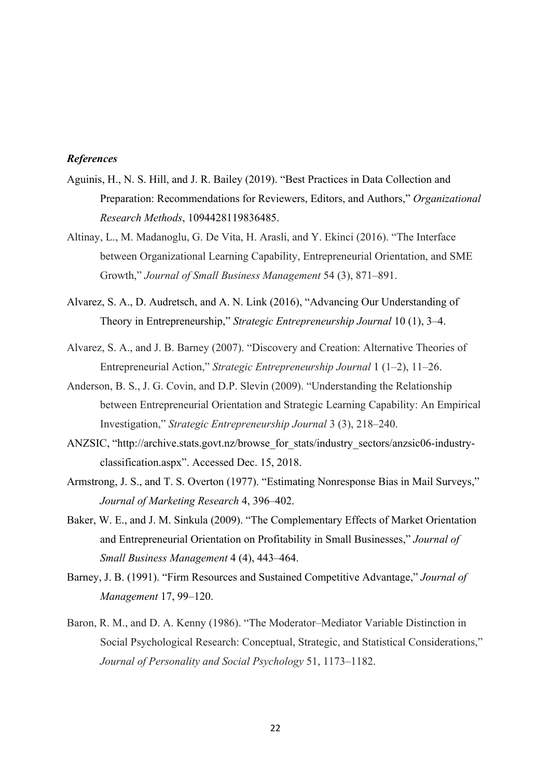#### *References*

- Aguinis, H., N. S. Hill, and J. R. Bailey (2019). "Best Practices in Data Collection and Preparation: Recommendations for Reviewers, Editors, and Authors," *Organizational Research Methods*, 1094428119836485.
- Altinay, L., M. Madanoglu, G. De Vita, H. Arasli, and Y. Ekinci (2016). "The Interface between Organizational Learning Capability, Entrepreneurial Orientation, and SME Growth," *Journal of Small Business Management* 54 (3), 871–891.
- Alvarez, S. A., D. Audretsch, and A. N. Link (2016), "Advancing Our Understanding of Theory in Entrepreneurship," *Strategic Entrepreneurship Journal* 10 (1), 3–4.
- Alvarez, S. A., and J. B. Barney (2007). "Discovery and Creation: Alternative Theories of Entrepreneurial Action," *Strategic Entrepreneurship Journal* 1 (1–2), 11–26.
- Anderson, B. S., J. G. Covin, and D.P. Slevin (2009). "Understanding the Relationship between Entrepreneurial Orientation and Strategic Learning Capability: An Empirical Investigation," *Strategic Entrepreneurship Journal* 3 (3), 218–240.
- ANZSIC, "http://archive.stats.govt.nz/browse\_for\_stats/industry\_sectors/anzsic06-industryclassification.aspx". Accessed Dec. 15, 2018.
- Armstrong, J. S., and T. S. Overton (1977). "Estimating Nonresponse Bias in Mail Surveys," *Journal of Marketing Research* 4, 396–402.
- Baker, W. E., and J. M. Sinkula (2009). "The Complementary Effects of Market Orientation and Entrepreneurial Orientation on Profitability in Small Businesses," *Journal of Small Business Management* 4 (4), 443–464.
- Barney, J. B. (1991). "Firm Resources and Sustained Competitive Advantage," *Journal of Management* 17, 99–120.
- Baron, R. M., and D. A. Kenny (1986). "The Moderator–Mediator Variable Distinction in Social Psychological Research: Conceptual, Strategic, and Statistical Considerations," *Journal of Personality and Social Psychology* 51, 1173–1182.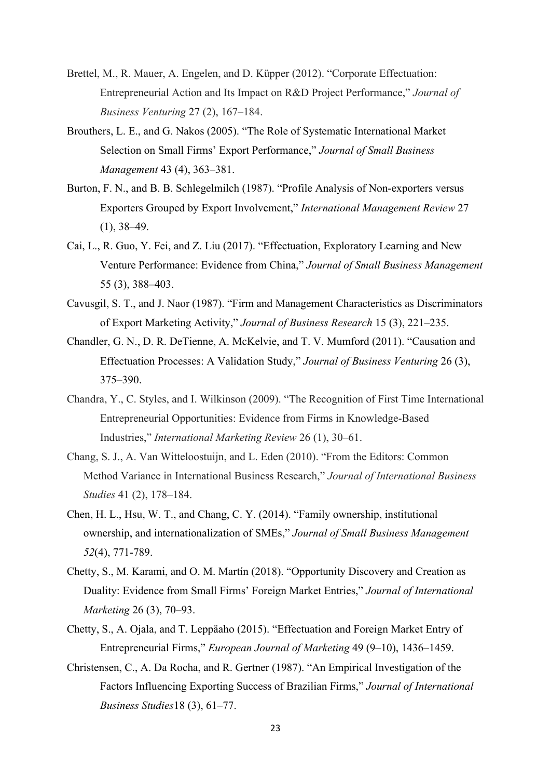- Brettel, M., R. Mauer, A. Engelen, and D. Küpper (2012). "Corporate Effectuation: Entrepreneurial Action and Its Impact on R&D Project Performance," *Journal of Business Venturing* 27 (2), 167–184.
- Brouthers, L. E., and G. Nakos (2005). "The Role of Systematic International Market Selection on Small Firms' Export Performance," *Journal of Small Business Management* 43 (4), 363–381.
- Burton, F. N., and B. B. Schlegelmilch (1987). "Profile Analysis of Non-exporters versus Exporters Grouped by Export Involvement," *International Management Review* 27  $(1), 38-49.$
- Cai, L., R. Guo, Y. Fei, and Z. Liu (2017). "Effectuation, Exploratory Learning and New Venture Performance: Evidence from China," *Journal of Small Business Management* 55 (3), 388–403.
- Cavusgil, S. T., and J. Naor (1987). "Firm and Management Characteristics as Discriminators of Export Marketing Activity," *Journal of Business Research* 15 (3), 221–235.
- Chandler, G. N., D. R. DeTienne, A. McKelvie, and T. V. Mumford (2011). "Causation and Effectuation Processes: A Validation Study," *Journal of Business Venturing* 26 (3), 375–390.
- Chandra, Y., C. Styles, and I. Wilkinson (2009). "The Recognition of First Time International Entrepreneurial Opportunities: Evidence from Firms in Knowledge-Based Industries," *International Marketing Review* 26 (1), 30–61.
- Chang, S. J., A. Van Witteloostuijn, and L. Eden (2010). "From the Editors: Common Method Variance in International Business Research," *Journal of International Business Studies* 41 (2), 178–184.
- Chen, H. L., Hsu, W. T., and Chang, C. Y. (2014). "Family ownership, institutional ownership, and internationalization of SMEs," *Journal of Small Business Management 52*(4), 771-789.
- Chetty, S., M. Karami, and O. M. Martín (2018). "Opportunity Discovery and Creation as Duality: Evidence from Small Firms' Foreign Market Entries," *Journal of International Marketing* 26 (3), 70–93.
- Chetty, S., A. Ojala, and T. Leppäaho (2015). "Effectuation and Foreign Market Entry of Entrepreneurial Firms," *European Journal of Marketing* 49 (9–10), 1436–1459.
- Christensen, C., A. Da Rocha, and R. Gertner (1987). "An Empirical Investigation of the Factors Influencing Exporting Success of Brazilian Firms," *Journal of International Business Studies*18 (3), 61–77.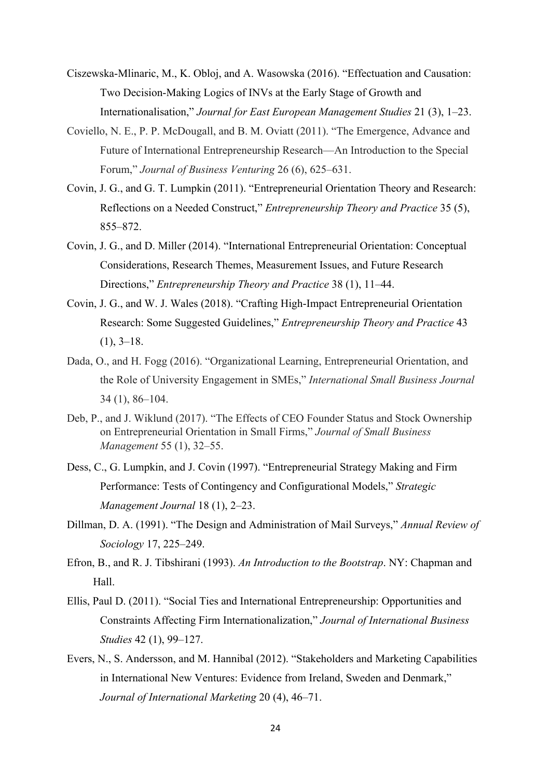- Ciszewska-Mlinaric, M., K. Obloj, and A. Wasowska (2016). "Effectuation and Causation: Two Decision-Making Logics of INVs at the Early Stage of Growth and Internationalisation," *Journal for East European Management Studies* 21 (3), 1–23.
- Coviello, N. E., P. P. McDougall, and B. M. Oviatt (2011). "The Emergence, Advance and Future of International Entrepreneurship Research—An Introduction to the Special Forum," *Journal of Business Venturing* 26 (6), 625–631.
- Covin, J. G., and G. T. Lumpkin (2011). "Entrepreneurial Orientation Theory and Research: Reflections on a Needed Construct," *Entrepreneurship Theory and Practice* 35 (5), 855–872.
- Covin, J. G., and D. Miller (2014). "International Entrepreneurial Orientation: Conceptual Considerations, Research Themes, Measurement Issues, and Future Research Directions," *Entrepreneurship Theory and Practice* 38 (1), 11–44.
- Covin, J. G., and W. J. Wales (2018). "Crafting High-Impact Entrepreneurial Orientation Research: Some Suggested Guidelines," *Entrepreneurship Theory and Practice* 43  $(1), 3-18.$
- Dada, O., and H. Fogg (2016). "Organizational Learning, Entrepreneurial Orientation, and the Role of University Engagement in SMEs," *International Small Business Journal* 34 (1), 86–104.
- Deb, P., and J. Wiklund (2017). "The Effects of CEO Founder Status and Stock Ownership on Entrepreneurial Orientation in Small Firms," *Journal of Small Business Management* 55 (1), 32–55.
- Dess, C., G. Lumpkin, and J. Covin (1997). "Entrepreneurial Strategy Making and Firm Performance: Tests of Contingency and Configurational Models," *Strategic Management Journal* 18 (1), 2–23.
- Dillman, D. A. (1991). "The Design and Administration of Mail Surveys," *Annual Review of Sociology* 17, 225–249.
- Efron, B., and R. J. Tibshirani (1993). *An Introduction to the Bootstrap*. NY: Chapman and Hall.
- Ellis, Paul D. (2011). "Social Ties and International Entrepreneurship: Opportunities and Constraints Affecting Firm Internationalization," *Journal of International Business Studies* 42 (1), 99–127.
- Evers, N., S. Andersson, and M. Hannibal (2012). "Stakeholders and Marketing Capabilities in International New Ventures: Evidence from Ireland, Sweden and Denmark," *Journal of International Marketing* 20 (4), 46–71.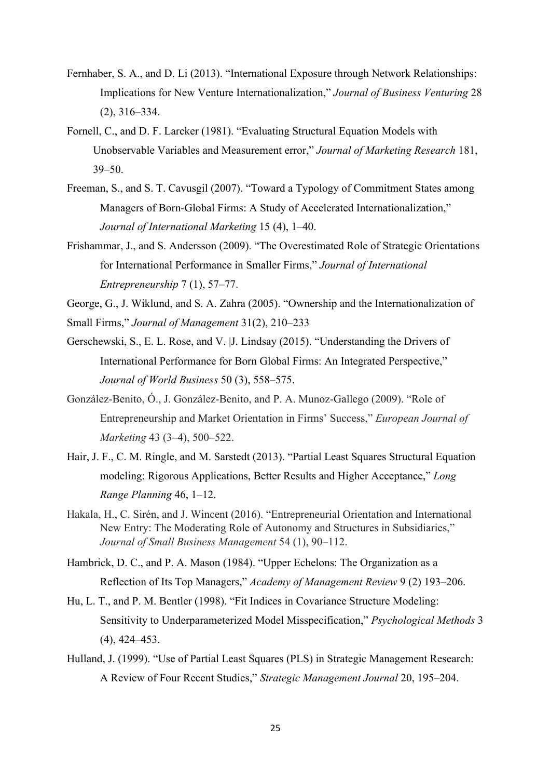- Fernhaber, S. A., and D. Li (2013). "International Exposure through Network Relationships: Implications for New Venture Internationalization," *Journal of Business Venturing* 28 (2), 316–334.
- Fornell, C., and D. F. Larcker (1981). "Evaluating Structural Equation Models with Unobservable Variables and Measurement error," *Journal of Marketing Research* 181, 39–50.
- Freeman, S., and S. T. Cavusgil (2007). "Toward a Typology of Commitment States among Managers of Born-Global Firms: A Study of Accelerated Internationalization," *Journal of International Marketing* 15 (4), 1–40.
- Frishammar, J., and S. Andersson (2009). "The Overestimated Role of Strategic Orientations for International Performance in Smaller Firms," *Journal of International Entrepreneurship* 7 (1), 57–77.
- George, G., J. Wiklund, and S. A. Zahra (2005). "Ownership and the Internationalization of Small Firms," *Journal of Management* 31(2), 210–233
- Gerschewski, S., E. L. Rose, and V. |J. Lindsay (2015). "Understanding the Drivers of International Performance for Born Global Firms: An Integrated Perspective," *Journal of World Business* 50 (3), 558–575.
- González-Benito, Ó., J. González-Benito, and P. A. Munoz-Gallego (2009). "Role of Entrepreneurship and Market Orientation in Firms' Success," *European Journal of Marketing* 43 (3–4), 500–522.
- Hair, J. F., C. M. Ringle, and M. Sarstedt (2013). "Partial Least Squares Structural Equation modeling: Rigorous Applications, Better Results and Higher Acceptance," *Long Range Planning* 46, 1–12.
- Hakala, H., C. Sirén, and J. Wincent (2016). "Entrepreneurial Orientation and International New Entry: The Moderating Role of Autonomy and Structures in Subsidiaries," *Journal of Small Business Management* 54 (1), 90–112.
- Hambrick, D. C., and P. A. Mason (1984). "Upper Echelons: The Organization as a Reflection of Its Top Managers," *Academy of Management Review* 9 (2) 193–206.
- Hu, L. T., and P. M. Bentler (1998). "Fit Indices in Covariance Structure Modeling: Sensitivity to Underparameterized Model Misspecification," *Psychological Methods* 3 (4), 424–453.
- Hulland, J. (1999). "Use of Partial Least Squares (PLS) in Strategic Management Research: A Review of Four Recent Studies," *Strategic Management Journal* 20, 195–204.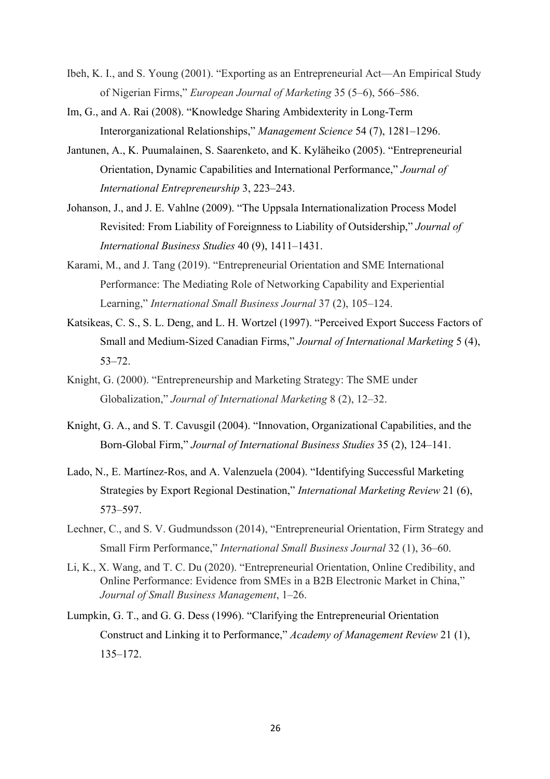- Ibeh, K. I., and S. Young (2001). "Exporting as an Entrepreneurial Act—An Empirical Study of Nigerian Firms," *European Journal of Marketing* 35 (5–6), 566–586.
- Im, G., and A. Rai (2008). "Knowledge Sharing Ambidexterity in Long-Term Interorganizational Relationships," *Management Science* 54 (7), 1281–1296.
- Jantunen, A., K. Puumalainen, S. Saarenketo, and K. Kyläheiko (2005). "Entrepreneurial Orientation, Dynamic Capabilities and International Performance," *Journal of International Entrepreneurship* 3, 223–243.
- Johanson, J., and J. E. Vahlne (2009). "The Uppsala Internationalization Process Model Revisited: From Liability of Foreignness to Liability of Outsidership," *Journal of International Business Studies* 40 (9), 1411–1431.
- Karami, M., and J. Tang (2019). "Entrepreneurial Orientation and SME International Performance: The Mediating Role of Networking Capability and Experiential Learning," *International Small Business Journal* 37 (2), 105–124.
- Katsikeas, C. S., S. L. Deng, and L. H. Wortzel (1997). "Perceived Export Success Factors of Small and Medium-Sized Canadian Firms," *Journal of International Marketing* 5 (4), 53–72.
- Knight, G. (2000). "Entrepreneurship and Marketing Strategy: The SME under Globalization," *Journal of International Marketing* 8 (2), 12–32.
- Knight, G. A., and S. T. Cavusgil (2004). "Innovation, Organizational Capabilities, and the Born-Global Firm," *Journal of International Business Studies* 35 (2), 124–141.
- Lado, N., E. Martínez-Ros, and A. Valenzuela (2004). "Identifying Successful Marketing Strategies by Export Regional Destination," *International Marketing Review* 21 (6), 573–597.
- Lechner, C., and S. V. Gudmundsson (2014), "Entrepreneurial Orientation, Firm Strategy and Small Firm Performance," *International Small Business Journal* 32 (1), 36–60.
- Li, K., X. Wang, and T. C. Du (2020). "Entrepreneurial Orientation, Online Credibility, and Online Performance: Evidence from SMEs in a B2B Electronic Market in China," *Journal of Small Business Management*, 1–26.
- Lumpkin, G. T., and G. G. Dess (1996). "Clarifying the Entrepreneurial Orientation Construct and Linking it to Performance," *Academy of Management Review* 21 (1), 135–172.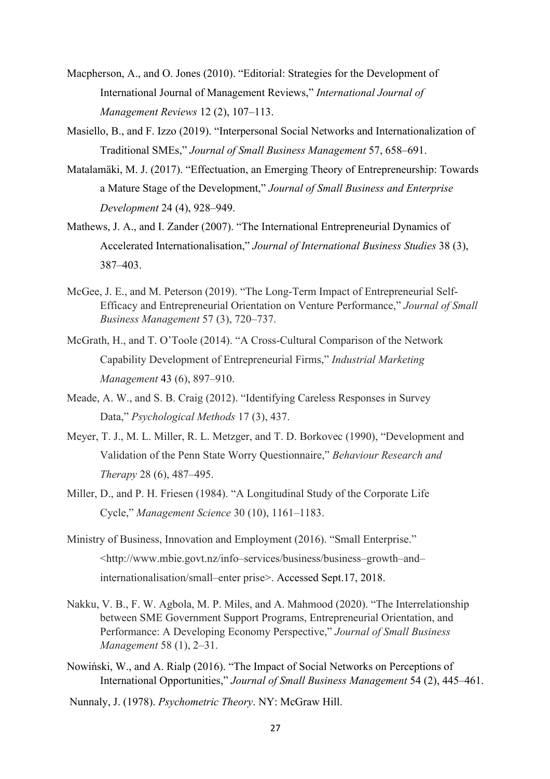- Macpherson, A., and O. Jones (2010). "Editorial: Strategies for the Development of International Journal of Management Reviews," *International Journal of Management Reviews* 12 (2), 107–113.
- Masiello, B., and F. Izzo (2019). "Interpersonal Social Networks and Internationalization of Traditional SMEs," *Journal of Small Business Management* 57, 658–691.
- Matalamäki, M. J. (2017). "Effectuation, an Emerging Theory of Entrepreneurship: Towards a Mature Stage of the Development," *Journal of Small Business and Enterprise Development* 24 (4), 928–949.
- Mathews, J. A., and I. Zander (2007). "The International Entrepreneurial Dynamics of Accelerated Internationalisation," *Journal of International Business Studies* 38 (3), 387–403.
- McGee, J. E., and M. Peterson (2019). "The Long-Term Impact of Entrepreneurial Self-Efficacy and Entrepreneurial Orientation on Venture Performance," *Journal of Small Business Management* 57 (3), 720–737.
- McGrath, H., and T. O'Toole (2014). "A Cross-Cultural Comparison of the Network Capability Development of Entrepreneurial Firms," *Industrial Marketing Management* 43 (6), 897–910.
- Meade, A. W., and S. B. Craig (2012). "Identifying Careless Responses in Survey Data," *Psychological Methods* 17 (3), 437.
- Meyer, T. J., M. L. Miller, R. L. Metzger, and T. D. Borkovec (1990), "Development and Validation of the Penn State Worry Questionnaire," *Behaviour Research and Therapy* 28 (6), 487–495.
- Miller, D., and P. H. Friesen (1984). "A Longitudinal Study of the Corporate Life Cycle," *Management Science* 30 (10), 1161–1183.
- Ministry of Business, Innovation and Employment (2016). "Small Enterprise." <http://www.mbie.govt.nz/info–services/business/business–growth–and– internationalisation/small–enter prise>. Accessed Sept.17, 2018.
- Nakku, V. B., F. W. Agbola, M. P. Miles, and A. Mahmood (2020). "The Interrelationship between SME Government Support Programs, Entrepreneurial Orientation, and Performance: A Developing Economy Perspective," *Journal of Small Business Management* 58 (1), 2–31.
- Nowiński, W., and A. Rialp (2016). "The Impact of Social Networks on Perceptions of International Opportunities," *Journal of Small Business Management* 54 (2), 445–461.
- Nunnaly, J. (1978). *Psychometric Theory*. NY: McGraw Hill.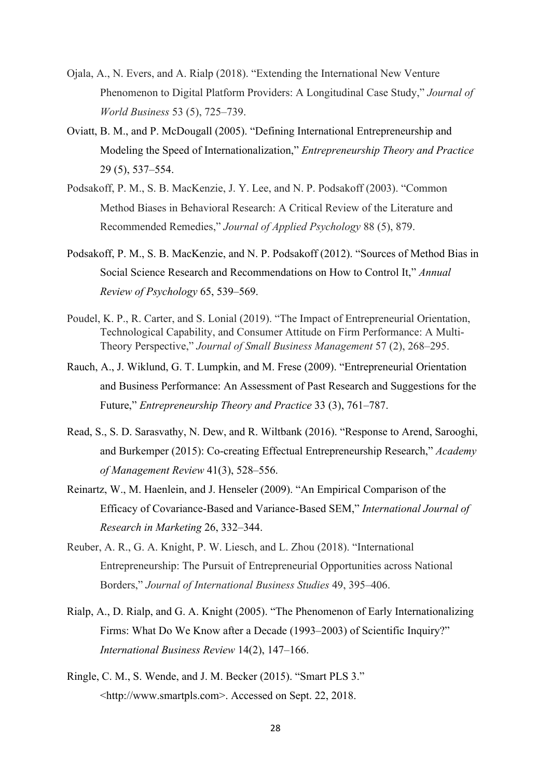- Ojala, A., N. Evers, and A. Rialp (2018). "Extending the International New Venture Phenomenon to Digital Platform Providers: A Longitudinal Case Study," *Journal of World Business* 53 (5), 725–739.
- Oviatt, B. M., and P. McDougall (2005). "Defining International Entrepreneurship and Modeling the Speed of Internationalization," *Entrepreneurship Theory and Practice* 29 (5), 537–554.
- Podsakoff, P. M., S. B. MacKenzie, J. Y. Lee, and N. P. Podsakoff (2003). "Common Method Biases in Behavioral Research: A Critical Review of the Literature and Recommended Remedies," *Journal of Applied Psychology* 88 (5), 879.
- Podsakoff, P. M., S. B. MacKenzie, and N. P. Podsakoff (2012). "Sources of Method Bias in Social Science Research and Recommendations on How to Control It," *Annual Review of Psychology* 65, 539–569.
- Poudel, K. P., R. Carter, and S. Lonial (2019). "The Impact of Entrepreneurial Orientation, Technological Capability, and Consumer Attitude on Firm Performance: A Multi‐ Theory Perspective," *Journal of Small Business Management* 57 (2), 268–295.
- Rauch, A., J. Wiklund, G. T. Lumpkin, and M. Frese (2009). "Entrepreneurial Orientation and Business Performance: An Assessment of Past Research and Suggestions for the Future," *Entrepreneurship Theory and Practice* 33 (3), 761–787.
- Read, S., S. D. Sarasvathy, N. Dew, and R. Wiltbank (2016). "Response to Arend, Sarooghi, and Burkemper (2015): Co-creating Effectual Entrepreneurship Research," *Academy of Management Review* 41(3), 528–556.
- Reinartz, W., M. Haenlein, and J. Henseler (2009). "An Empirical Comparison of the Efficacy of Covariance-Based and Variance-Based SEM," *International Journal of Research in Marketing* 26, 332–344.
- Reuber, A. R., G. A. Knight, P. W. Liesch, and L. Zhou (2018). "International Entrepreneurship: The Pursuit of Entrepreneurial Opportunities across National Borders," *Journal of International Business Studies* 49, 395–406.
- Rialp, A., D. Rialp, and G. A. Knight (2005). "The Phenomenon of Early Internationalizing Firms: What Do We Know after a Decade (1993–2003) of Scientific Inquiry?" *International Business Review* 14(2), 147–166.
- Ringle, C. M., S. Wende, and J. M. Becker (2015). "Smart PLS 3." <http://www.smartpls.com>. Accessed on Sept. 22, 2018.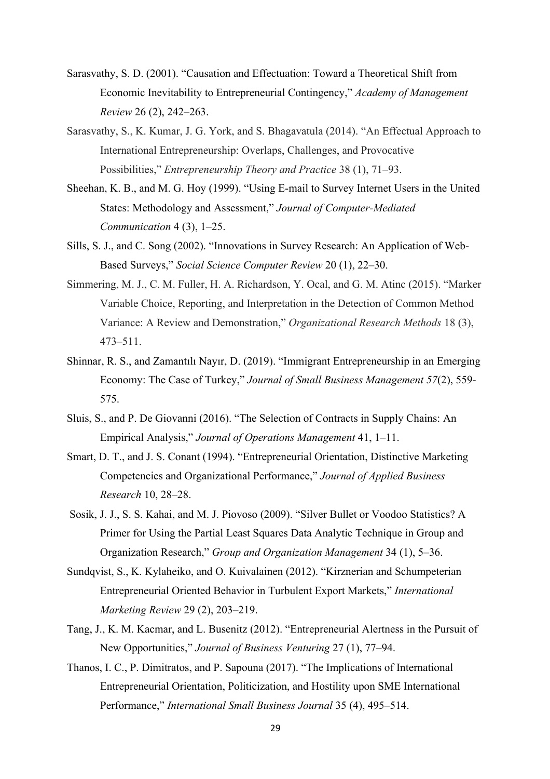- Sarasvathy, S. D. (2001). "Causation and Effectuation: Toward a Theoretical Shift from Economic Inevitability to Entrepreneurial Contingency," *Academy of Management Review* 26 (2), 242–263.
- Sarasvathy, S., K. Kumar, J. G. York, and S. Bhagavatula (2014). "An Effectual Approach to International Entrepreneurship: Overlaps, Challenges, and Provocative Possibilities," *Entrepreneurship Theory and Practice* 38 (1), 71–93.
- Sheehan, K. B., and M. G. Hoy (1999). "Using E-mail to Survey Internet Users in the United States: Methodology and Assessment," *Journal of Computer-Mediated Communication* 4 (3), 1–25.
- Sills, S. J., and C. Song (2002). "Innovations in Survey Research: An Application of Web-Based Surveys," *Social Science Computer Review* 20 (1), 22–30.
- Simmering, M. J., C. M. Fuller, H. A. Richardson, Y. Ocal, and G. M. Atinc (2015). "Marker Variable Choice, Reporting, and Interpretation in the Detection of Common Method Variance: A Review and Demonstration," *Organizational Research Methods* 18 (3), 473–511.
- Shinnar, R. S., and Zamantılı Nayır, D. (2019). "Immigrant Entrepreneurship in an Emerging Economy: The Case of Turkey," *Journal of Small Business Management 57*(2), 559- 575.
- Sluis, S., and P. De Giovanni (2016). "The Selection of Contracts in Supply Chains: An Empirical Analysis," *Journal of Operations Management* 41, 1–11.
- Smart, D. T., and J. S. Conant (1994). "Entrepreneurial Orientation, Distinctive Marketing Competencies and Organizational Performance," *Journal of Applied Business Research* 10, 28–28.
- Sosik, J. J., S. S. Kahai, and M. J. Piovoso (2009). "Silver Bullet or Voodoo Statistics? A Primer for Using the Partial Least Squares Data Analytic Technique in Group and Organization Research," *Group and Organization Management* 34 (1), 5–36.
- Sundqvist, S., K. Kylaheiko, and O. Kuivalainen (2012). "Kirznerian and Schumpeterian Entrepreneurial Oriented Behavior in Turbulent Export Markets," *International Marketing Review* 29 (2), 203–219.
- Tang, J., K. M. Kacmar, and L. Busenitz (2012). "Entrepreneurial Alertness in the Pursuit of New Opportunities," *Journal of Business Venturing* 27 (1), 77–94.
- Thanos, I. C., P. Dimitratos, and P. Sapouna (2017). "The Implications of International Entrepreneurial Orientation, Politicization, and Hostility upon SME International Performance," *International Small Business Journal* 35 (4), 495–514.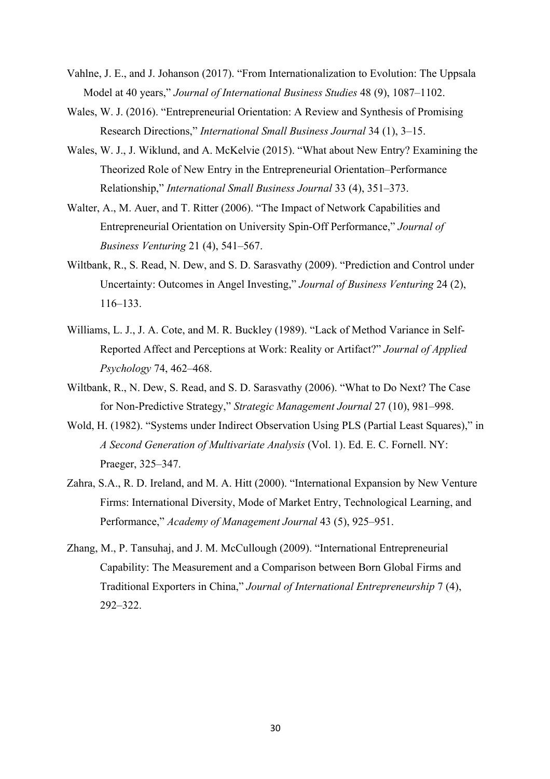- Vahlne, J. E., and J. Johanson (2017). "From Internationalization to Evolution: The Uppsala Model at 40 years," *Journal of International Business Studies* 48 (9), 1087–1102.
- Wales, W. J. (2016). "Entrepreneurial Orientation: A Review and Synthesis of Promising Research Directions," *International Small Business Journal* 34 (1), 3–15.
- Wales, W. J., J. Wiklund, and A. McKelvie (2015). "What about New Entry? Examining the Theorized Role of New Entry in the Entrepreneurial Orientation–Performance Relationship," *International Small Business Journal* 33 (4), 351–373.
- Walter, A., M. Auer, and T. Ritter (2006). "The Impact of Network Capabilities and Entrepreneurial Orientation on University Spin-Off Performance," *Journal of Business Venturing* 21 (4), 541–567.
- Wiltbank, R., S. Read, N. Dew, and S. D. Sarasvathy (2009). "Prediction and Control under Uncertainty: Outcomes in Angel Investing," *Journal of Business Venturing* 24 (2), 116–133.
- Williams, L. J., J. A. Cote, and M. R. Buckley (1989). "Lack of Method Variance in Self-Reported Affect and Perceptions at Work: Reality or Artifact?" *Journal of Applied Psychology* 74, 462–468.
- Wiltbank, R., N. Dew, S. Read, and S. D. Sarasvathy (2006). "What to Do Next? The Case for Non‐Predictive Strategy," *Strategic Management Journal* 27 (10), 981–998.
- Wold, H. (1982). "Systems under Indirect Observation Using PLS (Partial Least Squares)," in *A Second Generation of Multivariate Analysis* (Vol. 1). Ed. E. C. Fornell. NY: Praeger, 325–347.
- Zahra, S.A., R. D. Ireland, and M. A. Hitt (2000). "International Expansion by New Venture Firms: International Diversity, Mode of Market Entry, Technological Learning, and Performance," *Academy of Management Journal* 43 (5), 925–951.
- Zhang, M., P. Tansuhaj, and J. M. McCullough (2009). "International Entrepreneurial Capability: The Measurement and a Comparison between Born Global Firms and Traditional Exporters in China," *Journal of International Entrepreneurship* 7 (4), 292–322.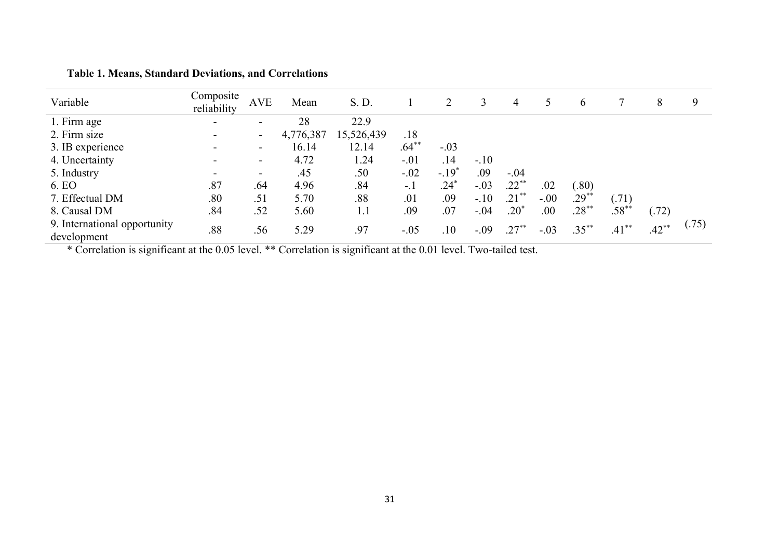| Variable                                    | Composite<br>reliability | <b>AVE</b>               | Mean      | S. D.      |         |         | 3      | 4         |        | $\sigma$ |          | 8        | 9     |
|---------------------------------------------|--------------------------|--------------------------|-----------|------------|---------|---------|--------|-----------|--------|----------|----------|----------|-------|
| 1. Firm age                                 | $\overline{\phantom{0}}$ | $\overline{\phantom{a}}$ | 28        | 22.9       |         |         |        |           |        |          |          |          |       |
| 2. Firm size                                |                          |                          | 4,776,387 | 15,526,439 | .18     |         |        |           |        |          |          |          |       |
| 3. IB experience                            |                          | -                        | 16.14     | 12.14      | $.64**$ | $-.03$  |        |           |        |          |          |          |       |
| 4. Uncertainty                              |                          | ۰.                       | 4.72      | 1.24       | $-.01$  | .14     | $-.10$ |           |        |          |          |          |       |
| 5. Industry                                 |                          | ۰.                       | .45       | .50        | $-.02$  | $-.19*$ | .09    | $-.04$    |        |          |          |          |       |
| 6. EO                                       | .87                      | .64                      | 4.96      | .84        | $-.1$   | $.24*$  | $-.03$ | $.22***$  | .02    | (.80)    |          |          |       |
| 7. Effectual DM                             | .80                      | .51                      | 5.70      | .88        | .01     | .09     | $-.10$ | $.21***$  | $-.00$ | $.29**$  | (.71)    |          |       |
| 8. Causal DM                                | .84                      | .52                      | 5.60      | 1.1        | .09     | .07     | $-.04$ | $.20*$    | .00    | $.28***$ | $.58***$ | (.72)    |       |
| 9. International opportunity<br>development | .88                      | .56                      | 5.29      | .97        | $-.05$  | .10     | $-.09$ | $.27^{*}$ | $-.03$ | $.35***$ | $.41***$ | $.42***$ | (.75) |

**Table 1. Means, Standard Deviations, and Correlations**

\* Correlation is significant at the 0.05 level. \*\* Correlation is significant at the 0.01 level. Two-tailed test.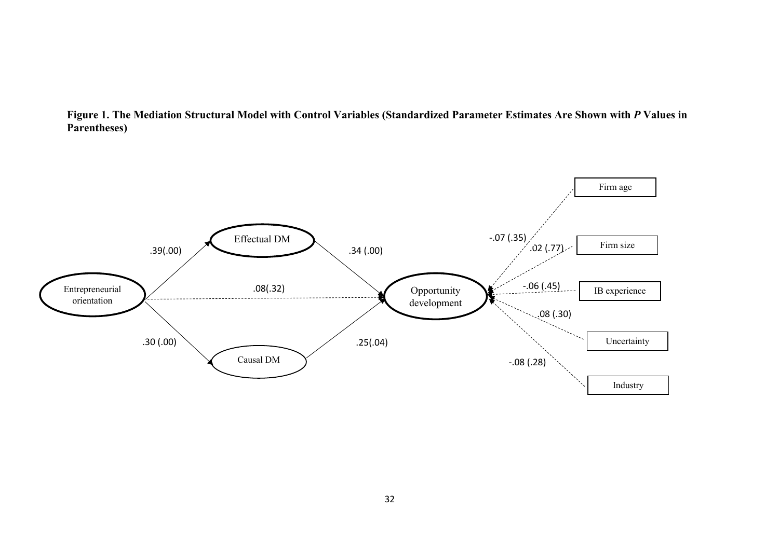

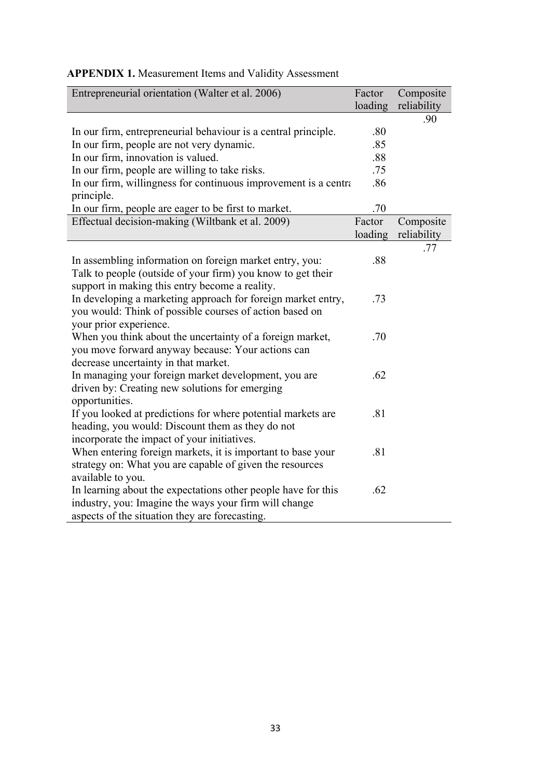| Entrepreneurial orientation (Walter et al. 2006)                               | Factor<br>loading | Composite<br>reliability |
|--------------------------------------------------------------------------------|-------------------|--------------------------|
|                                                                                |                   | .90                      |
| In our firm, entrepreneurial behaviour is a central principle.                 | .80               |                          |
| In our firm, people are not very dynamic.                                      | .85               |                          |
| In our firm, innovation is valued.                                             | .88               |                          |
| In our firm, people are willing to take risks.                                 | .75               |                          |
| In our firm, willingness for continuous improvement is a central<br>principle. | .86               |                          |
| In our firm, people are eager to be first to market.                           | .70               |                          |
| Effectual decision-making (Wiltbank et al. 2009)                               | Factor            | Composite                |
|                                                                                | loading           | reliability              |
|                                                                                |                   | .77                      |
| In assembling information on foreign market entry, you:                        | .88               |                          |
| Talk to people (outside of your firm) you know to get their                    |                   |                          |
| support in making this entry become a reality.                                 |                   |                          |
| In developing a marketing approach for foreign market entry,                   | .73               |                          |
| you would: Think of possible courses of action based on                        |                   |                          |
| your prior experience.                                                         |                   |                          |
| When you think about the uncertainty of a foreign market,                      | .70               |                          |
| you move forward anyway because: Your actions can                              |                   |                          |
| decrease uncertainty in that market.                                           |                   |                          |
| In managing your foreign market development, you are                           | .62               |                          |
| driven by: Creating new solutions for emerging                                 |                   |                          |
| opportunities.                                                                 |                   |                          |
| If you looked at predictions for where potential markets are                   | .81               |                          |
| heading, you would: Discount them as they do not                               |                   |                          |
| incorporate the impact of your initiatives.                                    |                   |                          |
| When entering foreign markets, it is important to base your                    | .81               |                          |
| strategy on: What you are capable of given the resources                       |                   |                          |
| available to you.                                                              |                   |                          |
| In learning about the expectations other people have for this                  | .62               |                          |
| industry, you: Imagine the ways your firm will change                          |                   |                          |
| aspects of the situation they are forecasting.                                 |                   |                          |

## **APPENDIX 1.** Measurement Items and Validity Assessment